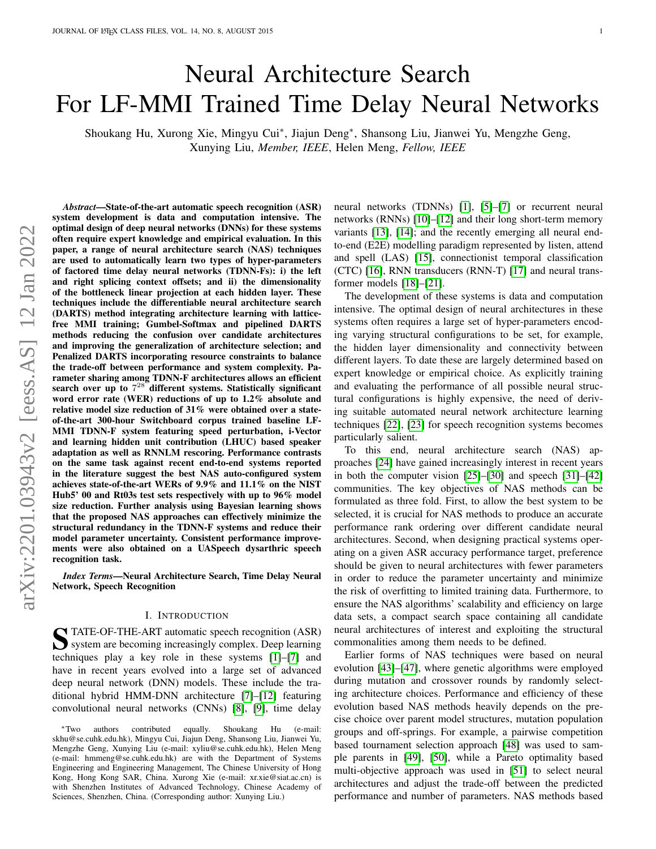# Neural Architecture Search For LF-MMI Trained Time Delay Neural Networks

Shoukang Hu, Xurong Xie, Mingyu Cui<sup>∗</sup> , Jiajun Deng<sup>∗</sup> , Shansong Liu, Jianwei Yu, Mengzhe Geng, Xunying Liu, *Member, IEEE*, Helen Meng, *Fellow, IEEE*

*Abstract*—State-of-the-art automatic speech recognition (ASR) system development is data and computation intensive. The optimal design of deep neural networks (DNNs) for these systems often require expert knowledge and empirical evaluation. In this paper, a range of neural architecture search (NAS) techniques are used to automatically learn two types of hyper-parameters of factored time delay neural networks (TDNN-Fs): i) the left and right splicing context offsets; and ii) the dimensionality of the bottleneck linear projection at each hidden layer. These techniques include the differentiable neural architecture search (DARTS) method integrating architecture learning with latticefree MMI training; Gumbel-Softmax and pipelined DARTS methods reducing the confusion over candidate architectures and improving the generalization of architecture selection; and Penalized DARTS incorporating resource constraints to balance the trade-off between performance and system complexity. Parameter sharing among TDNN-F architectures allows an efficient search over up to  $7^{28}$  different systems. Statistically significant word error rate (WER) reductions of up to 1.2% absolute and relative model size reduction of 31% were obtained over a stateof-the-art 300-hour Switchboard corpus trained baseline LF-MMI TDNN-F system featuring speed perturbation, i-Vector and learning hidden unit contribution (LHUC) based speaker adaptation as well as RNNLM rescoring. Performance contrasts on the same task against recent end-to-end systems reported in the literature suggest the best NAS auto-configured system achieves state-of-the-art WERs of 9.9% and 11.1% on the NIST Hub5' 00 and Rt03s test sets respectively with up to 96% model size reduction. Further analysis using Bayesian learning shows that the proposed NAS approaches can effectively minimize the structural redundancy in the TDNN-F systems and reduce their model parameter uncertainty. Consistent performance improvements were also obtained on a UASpeech dysarthric speech recognition task.

*Index Terms*—Neural Architecture Search, Time Delay Neural Network, Speech Recognition

# I. INTRODUCTION

STATE-OF-THE-ART automatic speech recognition (ASR)<br>system are becoming increasingly complex. Deep learning system are becoming increasingly complex. Deep learning techniques play a key role in these systems [\[1\]](#page-11-0)–[\[7\]](#page-12-0) and have in recent years evolved into a large set of advanced deep neural network (DNN) models. These include the traditional hybrid HMM-DNN architecture [\[7\]](#page-12-0)–[\[12\]](#page-12-1) featuring convolutional neural networks (CNNs) [\[8\]](#page-12-2), [\[9\]](#page-12-3), time delay neural networks (TDNNs) [\[1\]](#page-11-0), [\[5\]](#page-11-1)–[\[7\]](#page-12-0) or recurrent neural networks (RNNs) [\[10\]](#page-12-4)–[\[12\]](#page-12-1) and their long short-term memory variants [\[13\]](#page-12-5), [\[14\]](#page-12-6); and the recently emerging all neural endto-end (E2E) modelling paradigm represented by listen, attend and spell (LAS) [\[15\]](#page-12-7), connectionist temporal classification (CTC) [\[16\]](#page-12-8), RNN transducers (RNN-T) [\[17\]](#page-12-9) and neural transformer models [\[18\]](#page-12-10)–[\[21\]](#page-12-11).

The development of these systems is data and computation intensive. The optimal design of neural architectures in these systems often requires a large set of hyper-parameters encoding varying structural configurations to be set, for example, the hidden layer dimensionality and connectivity between different layers. To date these are largely determined based on expert knowledge or empirical choice. As explicitly training and evaluating the performance of all possible neural structural configurations is highly expensive, the need of deriving suitable automated neural network architecture learning techniques [\[22\]](#page-12-12), [\[23\]](#page-12-13) for speech recognition systems becomes particularly salient.

To this end, neural architecture search (NAS) approaches [\[24\]](#page-12-14) have gained increasingly interest in recent years in both the computer vision [\[25\]](#page-12-15)–[\[30\]](#page-12-16) and speech [\[31\]](#page-12-17)–[\[42\]](#page-12-18) communities. The key objectives of NAS methods can be formulated as three fold. First, to allow the best system to be selected, it is crucial for NAS methods to produce an accurate performance rank ordering over different candidate neural architectures. Second, when designing practical systems operating on a given ASR accuracy performance target, preference should be given to neural architectures with fewer parameters in order to reduce the parameter uncertainty and minimize the risk of overfitting to limited training data. Furthermore, to ensure the NAS algorithms' scalability and efficiency on large data sets, a compact search space containing all candidate neural architectures of interest and exploiting the structural commonalities among them needs to be defined.

Earlier forms of NAS techniques were based on neural evolution [\[43\]](#page-12-19)–[\[47\]](#page-12-20), where genetic algorithms were employed during mutation and crossover rounds by randomly selecting architecture choices. Performance and efficiency of these evolution based NAS methods heavily depends on the precise choice over parent model structures, mutation population groups and off-springs. For example, a pairwise competition based tournament selection approach [\[48\]](#page-12-21) was used to sample parents in [\[49\]](#page-12-22), [\[50\]](#page-12-23), while a Pareto optimality based multi-objective approach was used in [\[51\]](#page-12-24) to select neural architectures and adjust the trade-off between the predicted performance and number of parameters. NAS methods based

<sup>∗</sup>Two authors contributed equally. Shoukang Hu (e-mail: skhu@se.cuhk.edu.hk), Mingyu Cui, Jiajun Deng, Shansong Liu, Jianwei Yu, Mengzhe Geng, Xunying Liu (e-mail: xyliu@se.cuhk.edu.hk), Helen Meng (e-mail: hmmeng@se.cuhk.edu.hk) are with the Department of Systems Engineering and Engineering Management, The Chinese University of Hong Kong, Hong Kong SAR, China. Xurong Xie (e-mail: xr.xie@siat.ac.cn) is with Shenzhen Institutes of Advanced Technology, Chinese Academy of Sciences, Shenzhen, China. (Corresponding author: Xunying Liu.)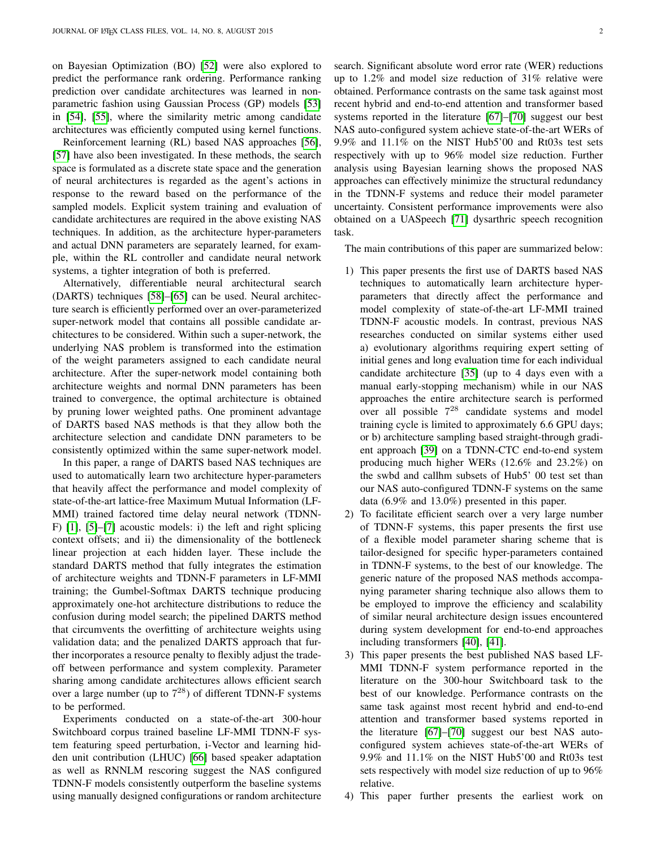on Bayesian Optimization (BO) [\[52\]](#page-12-25) were also explored to predict the performance rank ordering. Performance ranking prediction over candidate architectures was learned in nonparametric fashion using Gaussian Process (GP) models [\[53\]](#page-12-26) in [\[54\]](#page-12-27), [\[55\]](#page-12-28), where the similarity metric among candidate architectures was efficiently computed using kernel functions.

Reinforcement learning (RL) based NAS approaches [\[56\]](#page-12-29), [\[57\]](#page-12-30) have also been investigated. In these methods, the search space is formulated as a discrete state space and the generation of neural architectures is regarded as the agent's actions in response to the reward based on the performance of the sampled models. Explicit system training and evaluation of candidate architectures are required in the above existing NAS techniques. In addition, as the architecture hyper-parameters and actual DNN parameters are separately learned, for example, within the RL controller and candidate neural network systems, a tighter integration of both is preferred.

Alternatively, differentiable neural architectural search (DARTS) techniques [\[58\]](#page-12-31)–[\[65\]](#page-12-32) can be used. Neural architecture search is efficiently performed over an over-parameterized super-network model that contains all possible candidate architectures to be considered. Within such a super-network, the underlying NAS problem is transformed into the estimation of the weight parameters assigned to each candidate neural architecture. After the super-network model containing both architecture weights and normal DNN parameters has been trained to convergence, the optimal architecture is obtained by pruning lower weighted paths. One prominent advantage of DARTS based NAS methods is that they allow both the architecture selection and candidate DNN parameters to be consistently optimized within the same super-network model.

In this paper, a range of DARTS based NAS techniques are used to automatically learn two architecture hyper-parameters that heavily affect the performance and model complexity of state-of-the-art lattice-free Maximum Mutual Information (LF-MMI) trained factored time delay neural network (TDNN-F) [\[1\]](#page-11-0), [\[5\]](#page-11-1)–[\[7\]](#page-12-0) acoustic models: i) the left and right splicing context offsets; and ii) the dimensionality of the bottleneck linear projection at each hidden layer. These include the standard DARTS method that fully integrates the estimation of architecture weights and TDNN-F parameters in LF-MMI training; the Gumbel-Softmax DARTS technique producing approximately one-hot architecture distributions to reduce the confusion during model search; the pipelined DARTS method that circumvents the overfitting of architecture weights using validation data; and the penalized DARTS approach that further incorporates a resource penalty to flexibly adjust the tradeoff between performance and system complexity. Parameter sharing among candidate architectures allows efficient search over a large number (up to  $7^{28}$ ) of different TDNN-F systems to be performed.

Experiments conducted on a state-of-the-art 300-hour Switchboard corpus trained baseline LF-MMI TDNN-F system featuring speed perturbation, i-Vector and learning hidden unit contribution (LHUC) [\[66\]](#page-13-0) based speaker adaptation as well as RNNLM rescoring suggest the NAS configured TDNN-F models consistently outperform the baseline systems using manually designed configurations or random architecture search. Significant absolute word error rate (WER) reductions up to 1.2% and model size reduction of 31% relative were obtained. Performance contrasts on the same task against most recent hybrid and end-to-end attention and transformer based systems reported in the literature [\[67\]](#page-13-1)–[\[70\]](#page-13-2) suggest our best NAS auto-configured system achieve state-of-the-art WERs of 9.9% and 11.1% on the NIST Hub5'00 and Rt03s test sets respectively with up to 96% model size reduction. Further analysis using Bayesian learning shows the proposed NAS approaches can effectively minimize the structural redundancy in the TDNN-F systems and reduce their model parameter uncertainty. Consistent performance improvements were also obtained on a UASpeech [\[71\]](#page-13-3) dysarthric speech recognition task.

The main contributions of this paper are summarized below:

- 1) This paper presents the first use of DARTS based NAS techniques to automatically learn architecture hyperparameters that directly affect the performance and model complexity of state-of-the-art LF-MMI trained TDNN-F acoustic models. In contrast, previous NAS researches conducted on similar systems either used a) evolutionary algorithms requiring expert setting of initial genes and long evaluation time for each individual candidate architecture [\[35\]](#page-12-33) (up to 4 days even with a manual early-stopping mechanism) while in our NAS approaches the entire architecture search is performed over all possible  $7^{28}$  candidate systems and model training cycle is limited to approximately 6.6 GPU days; or b) architecture sampling based straight-through gradient approach [\[39\]](#page-12-34) on a TDNN-CTC end-to-end system producing much higher WERs (12.6% and 23.2%) on the swbd and callhm subsets of Hub5' 00 test set than our NAS auto-configured TDNN-F systems on the same data (6.9% and 13.0%) presented in this paper.
- 2) To facilitate efficient search over a very large number of TDNN-F systems, this paper presents the first use of a flexible model parameter sharing scheme that is tailor-designed for specific hyper-parameters contained in TDNN-F systems, to the best of our knowledge. The generic nature of the proposed NAS methods accompanying parameter sharing technique also allows them to be employed to improve the efficiency and scalability of similar neural architecture design issues encountered during system development for end-to-end approaches including transformers [\[40\]](#page-12-35), [\[41\]](#page-12-36).
- 3) This paper presents the best published NAS based LF-MMI TDNN-F system performance reported in the literature on the 300-hour Switchboard task to the best of our knowledge. Performance contrasts on the same task against most recent hybrid and end-to-end attention and transformer based systems reported in the literature [\[67\]](#page-13-1)–[\[70\]](#page-13-2) suggest our best NAS autoconfigured system achieves state-of-the-art WERs of 9.9% and 11.1% on the NIST Hub5'00 and Rt03s test sets respectively with model size reduction of up to 96% relative.
- 4) This paper further presents the earliest work on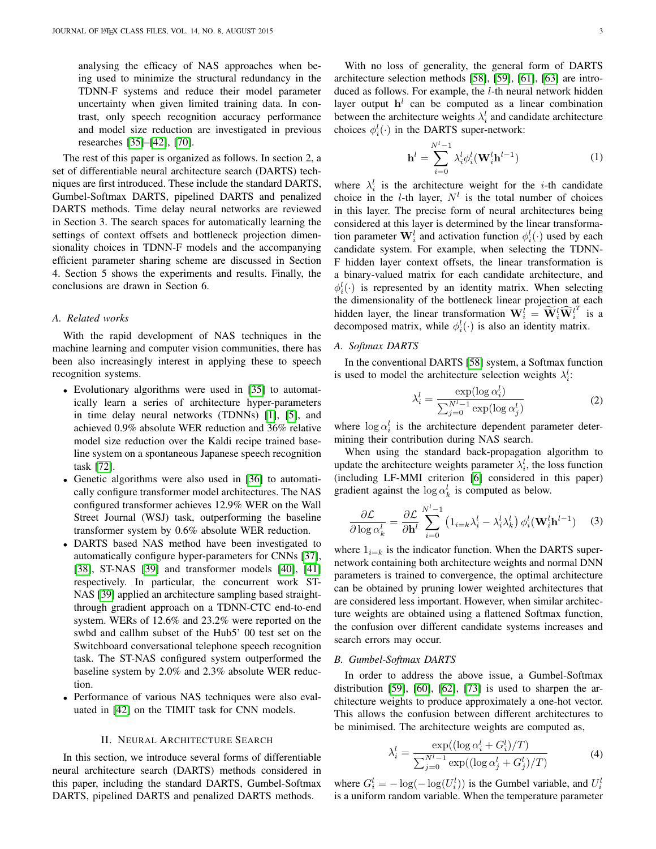analysing the efficacy of NAS approaches when being used to minimize the structural redundancy in the TDNN-F systems and reduce their model parameter uncertainty when given limited training data. In contrast, only speech recognition accuracy performance and model size reduction are investigated in previous researches [\[35\]](#page-12-33)–[\[42\]](#page-12-18), [\[70\]](#page-13-2).

The rest of this paper is organized as follows. In section 2, a set of differentiable neural architecture search (DARTS) techniques are first introduced. These include the standard DARTS, Gumbel-Softmax DARTS, pipelined DARTS and penalized DARTS methods. Time delay neural networks are reviewed in Section 3. The search spaces for automatically learning the settings of context offsets and bottleneck projection dimensionality choices in TDNN-F models and the accompanying efficient parameter sharing scheme are discussed in Section 4. Section 5 shows the experiments and results. Finally, the conclusions are drawn in Section 6.

# *A. Related works*

With the rapid development of NAS techniques in the machine learning and computer vision communities, there has been also increasingly interest in applying these to speech recognition systems.

- Evolutionary algorithms were used in [\[35\]](#page-12-33) to automatically learn a series of architecture hyper-parameters in time delay neural networks (TDNNs) [\[1\]](#page-11-0), [\[5\]](#page-11-1), and achieved 0.9% absolute WER reduction and 36% relative model size reduction over the Kaldi recipe trained baseline system on a spontaneous Japanese speech recognition task [\[72\]](#page-13-4).
- Genetic algorithms were also used in [\[36\]](#page-12-37) to automatically configure transformer model architectures. The NAS configured transformer achieves 12.9% WER on the Wall Street Journal (WSJ) task, outperforming the baseline transformer system by 0.6% absolute WER reduction.
- DARTS based NAS method have been investigated to automatically configure hyper-parameters for CNNs [\[37\]](#page-12-38), [\[38\]](#page-12-39), ST-NAS [\[39\]](#page-12-34) and transformer models [\[40\]](#page-12-35), [\[41\]](#page-12-36) respectively. In particular, the concurrent work ST-NAS [\[39\]](#page-12-34) applied an architecture sampling based straightthrough gradient approach on a TDNN-CTC end-to-end system. WERs of 12.6% and 23.2% were reported on the swbd and callhm subset of the Hub5' 00 test set on the Switchboard conversational telephone speech recognition task. The ST-NAS configured system outperformed the baseline system by 2.0% and 2.3% absolute WER reduction.
- Performance of various NAS techniques were also evaluated in [\[42\]](#page-12-18) on the TIMIT task for CNN models.

# II. NEURAL ARCHITECTURE SEARCH

<span id="page-2-1"></span>In this section, we introduce several forms of differentiable neural architecture search (DARTS) methods considered in this paper, including the standard DARTS, Gumbel-Softmax DARTS, pipelined DARTS and penalized DARTS methods.

With no loss of generality, the general form of DARTS architecture selection methods [\[58\]](#page-12-31), [\[59\]](#page-12-40), [\[61\]](#page-12-41), [\[63\]](#page-12-42) are introduced as follows. For example, the *l*-th neural network hidden layer output  $h<sup>l</sup>$  can be computed as a linear combination between the architecture weights  $\lambda_i^l$  and candidate architecture choices  $\phi_i^l(\cdot)$  in the DARTS super-network:

$$
\mathbf{h}^{l} = \sum_{i=0}^{N^{l}-1} \lambda_{i}^{l} \phi_{i}^{l} (\mathbf{W}_{i}^{l} \mathbf{h}^{l-1})
$$
 (1)

where  $\lambda_i^l$  is the architecture weight for the *i*-th candidate choice in the *l*-th layer,  $N<sup>l</sup>$  is the total number of choices in this layer. The precise form of neural architectures being considered at this layer is determined by the linear transformation parameter  $\mathbf{W}_i^l$  and activation function  $\phi_i^l(\cdot)$  used by each candidate system. For example, when selecting the TDNN-F hidden layer context offsets, the linear transformation is a binary-valued matrix for each candidate architecture, and  $\phi_i^l(\cdot)$  is represented by an identity matrix. When selecting the dimensionality of the bottleneck linear projection at each hidden layer, the linear transformation  $\mathbf{W}_i^{\hat{l}} = \widetilde{\mathbf{W}}_i^{\hat{l}} \widehat{\mathbf{W}}_i^{\hat{l}^T}$  is a decomposed matrix, while  $\phi_i^l(\cdot)$  is also an identity matrix.

# *A. Softmax DARTS*

In the conventional DARTS [\[58\]](#page-12-31) system, a Softmax function is used to model the architecture selection weights  $\lambda_i^l$ :

$$
\lambda_i^l = \frac{\exp(\log \alpha_i^l)}{\sum_{j=0}^{N^l-1} \exp(\log \alpha_j^l)}
$$
(2)

where  $\log \alpha_i^l$  is the architecture dependent parameter determining their contribution during NAS search.

When using the standard back-propagation algorithm to update the architecture weights parameter  $\lambda_i^l$ , the loss function (including LF-MMI criterion [\[6\]](#page-12-43) considered in this paper) gradient against the  $\log \alpha_k^l$  is computed as below.

$$
\frac{\partial \mathcal{L}}{\partial \log \alpha_k^l} = \frac{\partial \mathcal{L}}{\partial \mathbf{h}^l} \sum_{i=0}^{N^l-1} \left( 1_{i=k} \lambda_i^l - \lambda_i^l \lambda_k^l \right) \phi_i^l(\mathbf{W}_i^l \mathbf{h}^{l-1}) \tag{3}
$$

where  $1_{i=k}$  is the indicator function. When the DARTS supernetwork containing both architecture weights and normal DNN parameters is trained to convergence, the optimal architecture can be obtained by pruning lower weighted architectures that are considered less important. However, when similar architecture weights are obtained using a flattened Softmax function, the confusion over different candidate systems increases and search errors may occur.

# *B. Gumbel-Softmax DARTS*

In order to address the above issue, a Gumbel-Softmax distribution [\[59\]](#page-12-40), [\[60\]](#page-12-44), [\[62\]](#page-12-45), [\[73\]](#page-13-5) is used to sharpen the architecture weights to produce approximately a one-hot vector. This allows the confusion between different architectures to be minimised. The architecture weights are computed as,

<span id="page-2-0"></span>
$$
\lambda_i^l = \frac{\exp((\log \alpha_i^l + G_i^l)/T)}{\sum_{j=0}^{N^l-1} \exp((\log \alpha_j^l + G_j^l)/T)}
$$
(4)

where  $G_i^l = -\log(-\log(U_i^l))$  is the Gumbel variable, and  $U_i^l$ is a uniform random variable. When the temperature parameter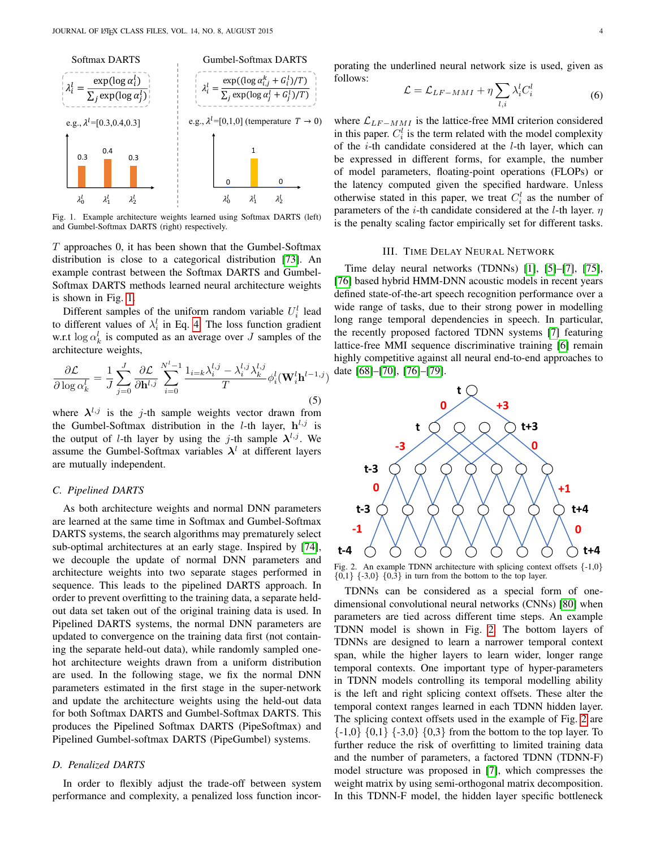

<span id="page-3-0"></span>Fig. 1. Example architecture weights learned using Softmax DARTS (left) and Gumbel-Softmax DARTS (right) respectively.

 $T$  approaches  $0$ , it has been shown that the Gumbel-Softmax distribution is close to a categorical distribution [\[73\]](#page-13-5). An example contrast between the Softmax DARTS and Gumbel-Softmax DARTS methods learned neural architecture weights is shown in Fig. [1.](#page-3-0)

Different samples of the uniform random variable  $U_i^l$  lead to different values of  $\lambda_i^l$  in Eq. [4.](#page-2-0) The loss function gradient w.r.t  $\log \alpha_k^l$  is computed as an average over J samples of the architecture weights,

$$
\frac{\partial \mathcal{L}}{\partial \log \alpha_k^l} = \frac{1}{J} \sum_{j=0}^J \frac{\partial \mathcal{L}}{\partial \mathbf{h}^{l,j}} \sum_{i=0}^{N^l-1} \frac{\mathbb{1}_{i=k} \lambda_i^{l,j} - \lambda_i^{l,j} \lambda_k^{l,j}}{T} \phi_i^l(\mathbf{W}_i^l \mathbf{h}^{l-1,j})
$$
(5)

where  $\lambda^{l,j}$  is the j-th sample weights vector drawn from the Gumbel-Softmax distribution in the *l*-th layer,  $h^{l,j}$  is the output of *l*-th layer by using the *j*-th sample  $\lambda^{l,j}$ . We assume the Gumbel-Softmax variables  $\lambda^{l}$  at different layers are mutually independent.

# *C. Pipelined DARTS*

As both architecture weights and normal DNN parameters are learned at the same time in Softmax and Gumbel-Softmax DARTS systems, the search algorithms may prematurely select sub-optimal architectures at an early stage. Inspired by [\[74\]](#page-13-6), we decouple the update of normal DNN parameters and architecture weights into two separate stages performed in sequence. This leads to the pipelined DARTS approach. In order to prevent overfitting to the training data, a separate heldout data set taken out of the original training data is used. In Pipelined DARTS systems, the normal DNN parameters are updated to convergence on the training data first (not containing the separate held-out data), while randomly sampled onehot architecture weights drawn from a uniform distribution are used. In the following stage, we fix the normal DNN parameters estimated in the first stage in the super-network and update the architecture weights using the held-out data for both Softmax DARTS and Gumbel-Softmax DARTS. This produces the Pipelined Softmax DARTS (PipeSoftmax) and Pipelined Gumbel-softmax DARTS (PipeGumbel) systems.

# <span id="page-3-3"></span>*D. Penalized DARTS*

In order to flexibly adjust the trade-off between system performance and complexity, a penalized loss function incor-

porating the underlined neural network size is used, given as follows:

<span id="page-3-2"></span>
$$
\mathcal{L} = \mathcal{L}_{LF-MMI} + \eta \sum_{l,i} \lambda_i^l C_i^l \tag{6}
$$

where  $\mathcal{L}_{LF-MMI}$  is the lattice-free MMI criterion considered in this paper.  $C_i^l$  is the term related with the model complexity of the *i*-th candidate considered at the *l*-th layer, which can be expressed in different forms, for example, the number of model parameters, floating-point operations (FLOPs) or the latency computed given the specified hardware. Unless otherwise stated in this paper, we treat  $C_i^l$  as the number of parameters of the *i*-th candidate considered at the *l*-th layer.  $\eta$ is the penalty scaling factor empirically set for different tasks.

#### III. TIME DELAY NEURAL NETWORK

Time delay neural networks (TDNNs) [\[1\]](#page-11-0), [\[5\]](#page-11-1)–[\[7\]](#page-12-0), [\[75\]](#page-13-7), [\[76\]](#page-13-8) based hybrid HMM-DNN acoustic models in recent years defined state-of-the-art speech recognition performance over a wide range of tasks, due to their strong power in modelling long range temporal dependencies in speech. In particular, the recently proposed factored TDNN systems [\[7\]](#page-12-0) featuring lattice-free MMI sequence discriminative training [\[6\]](#page-12-43) remain highly competitive against all neural end-to-end approaches to date [\[68\]](#page-13-9)–[\[70\]](#page-13-2), [\[76\]](#page-13-8)–[\[79\]](#page-13-10).



<span id="page-3-1"></span>Fig. 2. An example TDNN architecture with splicing context offsets {-1,0}  ${0,1}$   ${-3,0}$   ${0,3}$  in turn from the bottom to the top layer.

TDNNs can be considered as a special form of onedimensional convolutional neural networks (CNNs) [\[80\]](#page-13-11) when parameters are tied across different time steps. An example TDNN model is shown in Fig. [2.](#page-3-1) The bottom layers of TDNNs are designed to learn a narrower temporal context span, while the higher layers to learn wider, longer range temporal contexts. One important type of hyper-parameters in TDNN models controlling its temporal modelling ability is the left and right splicing context offsets. These alter the temporal context ranges learned in each TDNN hidden layer. The splicing context offsets used in the example of Fig. [2](#page-3-1) are  $\{-1,0\}$   $\{0,1\}$   $\{-3,0\}$   $\{0,3\}$  from the bottom to the top layer. To further reduce the risk of overfitting to limited training data and the number of parameters, a factored TDNN (TDNN-F) model structure was proposed in [\[7\]](#page-12-0), which compresses the weight matrix by using semi-orthogonal matrix decomposition. In this TDNN-F model, the hidden layer specific bottleneck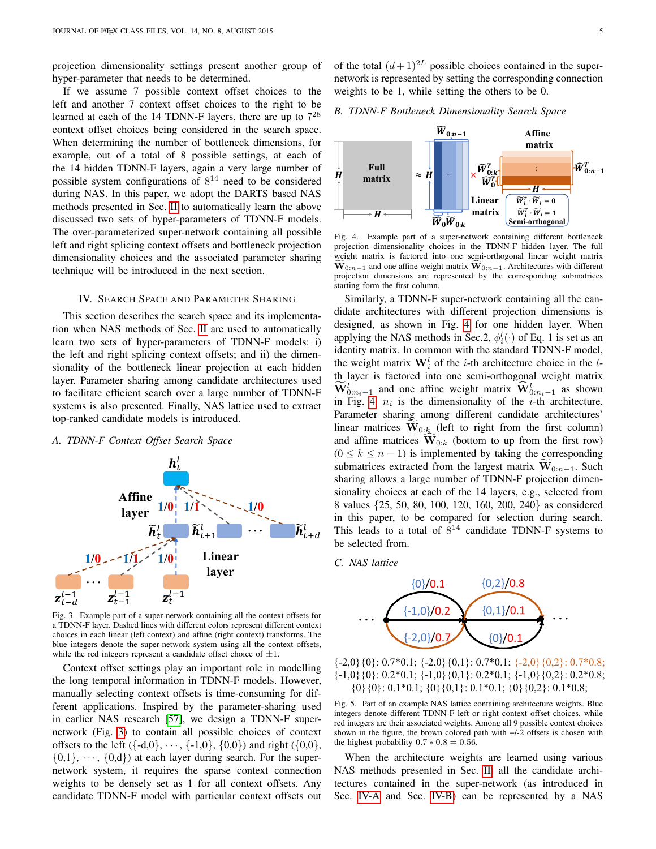projection dimensionality settings present another group of hyper-parameter that needs to be determined.

If we assume 7 possible context offset choices to the left and another 7 context offset choices to the right to be learned at each of the 14 TDNN-F layers, there are up to  $7^{28}$ context offset choices being considered in the search space. When determining the number of bottleneck dimensions, for example, out of a total of 8 possible settings, at each of the 14 hidden TDNN-F layers, again a very large number of possible system configurations of  $8^{14}$  need to be considered during NAS. In this paper, we adopt the DARTS based NAS methods presented in Sec. [II](#page-2-1) to automatically learn the above discussed two sets of hyper-parameters of TDNN-F models. The over-parameterized super-network containing all possible left and right splicing context offsets and bottleneck projection dimensionality choices and the associated parameter sharing technique will be introduced in the next section.

#### IV. SEARCH SPACE AND PARAMETER SHARING

This section describes the search space and its implementation when NAS methods of Sec. [II](#page-2-1) are used to automatically learn two sets of hyper-parameters of TDNN-F models: i) the left and right splicing context offsets; and ii) the dimensionality of the bottleneck linear projection at each hidden layer. Parameter sharing among candidate architectures used to facilitate efficient search over a large number of TDNN-F systems is also presented. Finally, NAS lattice used to extract top-ranked candidate models is introduced.

# <span id="page-4-2"></span>*A. TDNN-F Context Offset Search Space*



<span id="page-4-0"></span>Fig. 3. Example part of a super-network containing all the context offsets for a TDNN-F layer. Dashed lines with different colors represent different context choices in each linear (left context) and affine (right context) transforms. The blue integers denote the super-network system using all the context offsets, while the red integers represent a candidate offset choice of  $\pm 1$ .

Context offset settings play an important role in modelling the long temporal information in TDNN-F models. However, manually selecting context offsets is time-consuming for different applications. Inspired by the parameter-sharing used in earlier NAS research [\[57\]](#page-12-30), we design a TDNN-F supernetwork (Fig. [3\)](#page-4-0) to contain all possible choices of context offsets to the left  $({-d,0}, \dots, {-1,0}, {0,0})$  and right  $({0,0},$  $\{0,1\}, \dots, \{0,d\}$  at each layer during search. For the supernetwork system, it requires the sparse context connection weights to be densely set as 1 for all context offsets. Any candidate TDNN-F model with particular context offsets out of the total  $(d+1)^{2L}$  possible choices contained in the supernetwork is represented by setting the corresponding connection weights to be 1, while setting the others to be 0.

# <span id="page-4-3"></span>*B. TDNN-F Bottleneck Dimensionality Search Space*



<span id="page-4-1"></span>Fig. 4. Example part of a super-network containing different bottleneck projection dimensionality choices in the TDNN-F hidden layer. The full weight matrix is factored into one semi-orthogonal linear weight matrix  $\mathbf{W}_{0:n-1}$  and one affine weight matrix  $\widehat{\mathbf{W}}_{0:n-1}$ . Architectures with different projection dimensions are represented by the corresponding submatrices starting form the first column.

Similarly, a TDNN-F super-network containing all the candidate architectures with different projection dimensions is designed, as shown in Fig. [4](#page-4-1) for one hidden layer. When applying the NAS methods in Sec.2,  $\phi_i^l(\cdot)$  of Eq. 1 is set as an identity matrix. In common with the standard TDNN-F model, the weight matrix  $\mathbf{W}_i^l$  of the *i*-th architecture choice in the *l*th layer is factored into one semi-orthogonal weight matrix  $\widetilde{\mathbf{W}}_{0:n_{i}-1}^{l}$  and one affine weight matrix  $\widetilde{\mathbf{W}}_{0:n_{i}-1}^{l}$  as shown in Fig. [4.](#page-4-1)  $n_i$  is the dimensionality of the *i*-th architecture. Parameter sharing among different candidate architectures' linear matrices  $\mathbf{W}_{0:k}$  (left to right from the first column) and affine matrices  $\widehat{W}_{0:k}$  (bottom to up from the first row)  $(0 \le k \le n - 1)$  is implemented by taking the corresponding submatrices extracted from the largest matrix  $\mathbf{W}_{0:n-1}$ . Such sharing allows a large number of TDNN-F projection dimensionality choices at each of the 14 layers, e.g., selected from 8 values {25, 50, 80, 100, 120, 160, 200, 240} as considered in this paper, to be compared for selection during search. This leads to a total of  $8^{14}$  candidate TDNN-F systems to be selected from.





 $\{-2,0\}\{0\}: 0.7*0.1; \{-2,0\}\{0,1\}: 0.7*0.1; \{-2,0\}\{0,2\}: 0.7*0.8;$  $\{-1,0\}$  {0}: 0.2\*0.1;  $\{-1,0\}$  {0,1}: 0.2\*0.1;  $\{-1,0\}$  {0,2}: 0.2\*0.8;  $\{0\}\{0\}: 0.1*0.1; \{0\}\{0,1\}: 0.1*0.1; \{0\}\{0,2\}: 0.1*0.8;$ 

<span id="page-4-4"></span>Fig. 5. Part of an example NAS lattice containing architecture weights. Blue integers denote different TDNN-F left or right context offset choices, while red integers are their associated weights. Among all 9 possible context choices shown in the figure, the brown colored path with +/-2 offsets is chosen with the highest probability  $0.7 * 0.8 = 0.56$ .

When the architecture weights are learned using various NAS methods presented in Sec. [II,](#page-2-1) all the candidate architectures contained in the super-network (as introduced in Sec. [IV-A](#page-4-2) and Sec. [IV-B\)](#page-4-3) can be represented by a NAS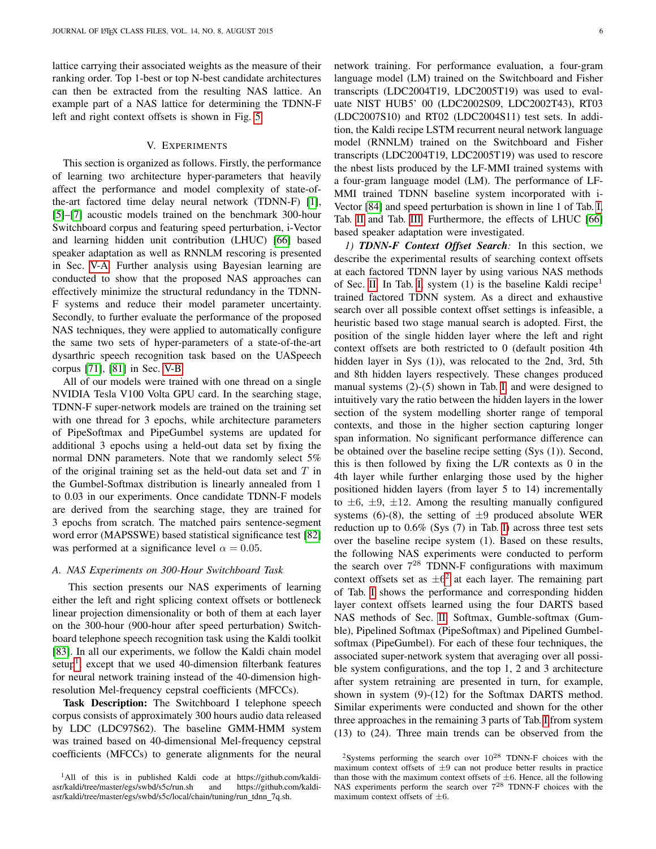lattice carrying their associated weights as the measure of their ranking order. Top 1-best or top N-best candidate architectures can then be extracted from the resulting NAS lattice. An example part of a NAS lattice for determining the TDNN-F left and right context offsets is shown in Fig. [5.](#page-4-4)

# V. EXPERIMENTS

This section is organized as follows. Firstly, the performance of learning two architecture hyper-parameters that heavily affect the performance and model complexity of state-ofthe-art factored time delay neural network (TDNN-F) [\[1\]](#page-11-0), [\[5\]](#page-11-1)–[\[7\]](#page-12-0) acoustic models trained on the benchmark 300-hour Switchboard corpus and featuring speed perturbation, i-Vector and learning hidden unit contribution (LHUC) [\[66\]](#page-13-0) based speaker adaptation as well as RNNLM rescoring is presented in Sec. [V-A.](#page-5-0) Further analysis using Bayesian learning are conducted to show that the proposed NAS approaches can effectively minimize the structural redundancy in the TDNN-F systems and reduce their model parameter uncertainty. Secondly, to further evaluate the performance of the proposed NAS techniques, they were applied to automatically configure the same two sets of hyper-parameters of a state-of-the-art dysarthric speech recognition task based on the UASpeech corpus [\[71\]](#page-13-3), [\[81\]](#page-13-12) in Sec. [V-B.](#page-10-0)

All of our models were trained with one thread on a single NVIDIA Tesla V100 Volta GPU card. In the searching stage, TDNN-F super-network models are trained on the training set with one thread for 3 epochs, while architecture parameters of PipeSoftmax and PipeGumbel systems are updated for additional 3 epochs using a held-out data set by fixing the normal DNN parameters. Note that we randomly select 5% of the original training set as the held-out data set and  $T$  in the Gumbel-Softmax distribution is linearly annealed from 1 to 0.03 in our experiments. Once candidate TDNN-F models are derived from the searching stage, they are trained for 3 epochs from scratch. The matched pairs sentence-segment word error (MAPSSWE) based statistical significance test [\[82\]](#page-13-13) was performed at a significance level  $\alpha = 0.05$ .

#### <span id="page-5-0"></span>*A. NAS Experiments on 300-Hour Switchboard Task*

This section presents our NAS experiments of learning either the left and right splicing context offsets or bottleneck linear projection dimensionality or both of them at each layer on the 300-hour (900-hour after speed perturbation) Switchboard telephone speech recognition task using the Kaldi toolkit [\[83\]](#page-13-14). In all our experiments, we follow the Kaldi chain model setup<sup>[1](#page-5-1)</sup>, except that we used 40-dimension filterbank features for neural network training instead of the 40-dimension highresolution Mel-frequency cepstral coefficients (MFCCs).

Task Description: The Switchboard I telephone speech corpus consists of approximately 300 hours audio data released by LDC (LDC97S62). The baseline GMM-HMM system was trained based on 40-dimensional Mel-frequency cepstral coefficients (MFCCs) to generate alignments for the neural network training. For performance evaluation, a four-gram language model (LM) trained on the Switchboard and Fisher transcripts (LDC2004T19, LDC2005T19) was used to evaluate NIST HUB5' 00 (LDC2002S09, LDC2002T43), RT03 (LDC2007S10) and RT02 (LDC2004S11) test sets. In addition, the Kaldi recipe LSTM recurrent neural network language model (RNNLM) trained on the Switchboard and Fisher transcripts (LDC2004T19, LDC2005T19) was used to rescore the nbest lists produced by the LF-MMI trained systems with a four-gram language model (LM). The performance of LF-MMI trained TDNN baseline system incorporated with i-Vector [\[84\]](#page-13-15) and speed perturbation is shown in line 1 of Tab. [I,](#page-6-0) Tab. [II](#page-7-0) and Tab. [III.](#page-9-0) Furthermore, the effects of LHUC [\[66\]](#page-13-0) based speaker adaptation were investigated.

*1) TDNN-F Context Offset Search:* In this section, we describe the experimental results of searching context offsets at each factored TDNN layer by using various NAS methods of Sec. [II.](#page-2-1) In Tab. [I,](#page-6-0) system  $(1)$  is the baseline Kaldi recipe<sup>1</sup> trained factored TDNN system. As a direct and exhaustive search over all possible context offset settings is infeasible, a heuristic based two stage manual search is adopted. First, the position of the single hidden layer where the left and right context offsets are both restricted to 0 (default position 4th hidden layer in Sys (1)), was relocated to the 2nd, 3rd, 5th and 8th hidden layers respectively. These changes produced manual systems (2)-(5) shown in Tab. [I,](#page-6-0) and were designed to intuitively vary the ratio between the hidden layers in the lower section of the system modelling shorter range of temporal contexts, and those in the higher section capturing longer span information. No significant performance difference can be obtained over the baseline recipe setting (Sys (1)). Second, this is then followed by fixing the L/R contexts as 0 in the 4th layer while further enlarging those used by the higher positioned hidden layers (from layer 5 to 14) incrementally to  $\pm 6$ ,  $\pm 9$ ,  $\pm 12$ . Among the resulting manually configured systems (6)-(8), the setting of  $\pm 9$  produced absolute WER reduction up to 0.6% (Sys (7) in Tab. [I\)](#page-6-0) across three test sets over the baseline recipe system (1). Based on these results, the following NAS experiments were conducted to perform the search over  $7^{28}$  TDNN-F configurations with maximum context offsets set as  $\pm 6^2$  $\pm 6^2$  at each layer. The remaining part of Tab. [I](#page-6-0) shows the performance and corresponding hidden layer context offsets learned using the four DARTS based NAS methods of Sec. [II,](#page-2-1) Softmax, Gumble-softmax (Gumble), Pipelined Softmax (PipeSoftmax) and Pipelined Gumbelsoftmax (PipeGumbel). For each of these four techniques, the associated super-network system that averaging over all possible system configurations, and the top 1, 2 and 3 architecture after system retraining are presented in turn, for example, shown in system (9)-(12) for the Softmax DARTS method. Similar experiments were conducted and shown for the other three approaches in the remaining 3 parts of Tab. [I](#page-6-0) from system (13) to (24). Three main trends can be observed from the

<span id="page-5-1"></span><sup>&</sup>lt;sup>1</sup>All of this is in published Kaldi code at https://github.com/kaldiasr/kaldi/tree/master/egs/swbd/s5c/run.sh and https://github.com/kaldiasr/kaldi/tree/master/egs/swbd/s5c/local/chain/tuning/run\_tdnn\_7q.sh.

<span id="page-5-2"></span><sup>&</sup>lt;sup>2</sup>Systems performing the search over  $10^{28}$  TDNN-F choices with the maximum context offsets of  $\pm 9$  can not produce better results in practice than those with the maximum context offsets of  $\pm 6$ . Hence, all the following NAS experiments perform the search over 7<sup>28</sup> TDNN-F choices with the maximum context offsets of  $\pm 6$ .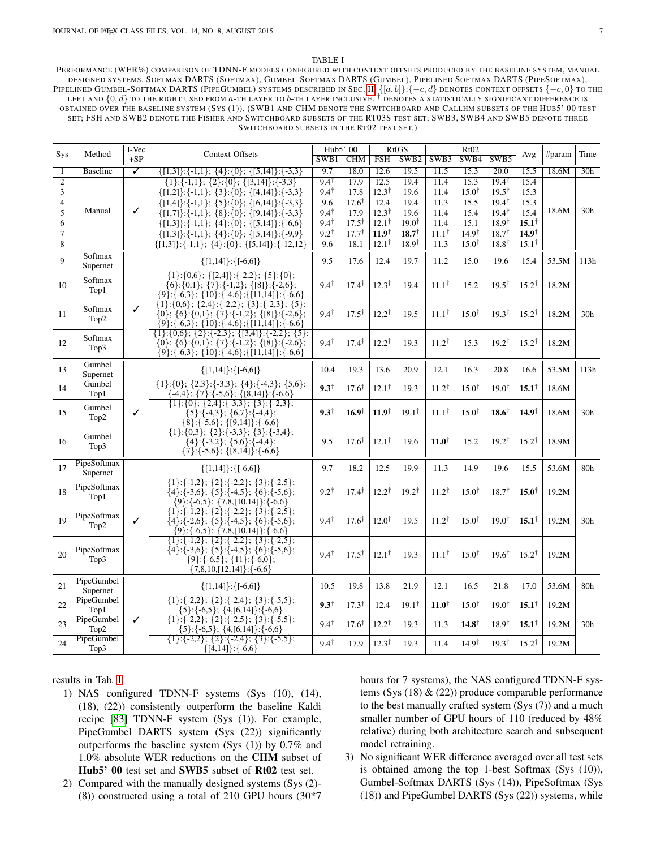#### TABLE I

<span id="page-6-0"></span>PERFORMANCE (WER%) COMPARISON OF TDNN-F MODELS CONFIGURED WITH CONTEXT OFFSETS PRODUCED BY THE BASELINE SYSTEM, MANUAL DESIGNED SYSTEMS, SOFTMAX DARTS (SOFTMAX), GUMBEL-SOFTMAX DARTS (GUMBEL), PIPELINED SOFTMAX DARTS (PIPESOFTMAX), PIPELINED GUMBEL-SOFTMAX DARTS (PIPEGUMBEL) SYSTEMS DESCRIBED IN SEC. [II.](#page-2-1)  $\{[a, b]\}:\{-c, d\}$  DENOTES CONTEXT OFFSETS  $\{-c, 0\}$  TO THE LEFT AND  $\{0,d\}$  to the right used from  $a$ -th layer to  $b$ -th layer inclusive.  $^\dagger$  denotes a statistically significant difference is OBTAINED OVER THE BASELINE SYSTEM (SYS (1)). (SWB1 AND CHM DENOTE THE SWITCHBOARD AND CALLHM SUBSETS OF THE HUB5' 00 TEST SET; FSH AND SWB2 DENOTE THE FISHER AND SWITCHBOARD SUBSETS OF THE RT03S TEST SET; SWB3, SWB4 AND SWB5 DENOTE THREE SWITCHBOARD SUBSETS IN THE RT02 TEST SET.)

| Sys<br>Method  |                         | I-Vec                   | <b>Context Offsets</b>                                                                                                                                                                                  | Hub5' 00        |                  | Rt03S            |                  | Rt02             |                  |                   | Avg              | #param | Time            |
|----------------|-------------------------|-------------------------|---------------------------------------------------------------------------------------------------------------------------------------------------------------------------------------------------------|-----------------|------------------|------------------|------------------|------------------|------------------|-------------------|------------------|--------|-----------------|
|                |                         | $+SP$                   |                                                                                                                                                                                                         |                 | <b>CHM</b>       | <b>FSH</b>       | SWB <sub>2</sub> | SWB3             | SWB4             | SWB5              |                  |        |                 |
| $\overline{1}$ | <b>Baseline</b>         | $\overline{\checkmark}$ | $\{[1,3]\}\$ : {-1,1}; {4}: {0}; {[5,14]}: {-3,3}                                                                                                                                                       | 9.7             | 18.0             | 12.6             | 19.5             | 11.5             | 15.3             | $\overline{20.0}$ | 15.5             | 18.6M  | 30h             |
| $\overline{c}$ |                         |                         | $\{1\}:\{-1,1\}; \{2\}:\{0\}; \{[3,14]\}:\{-3,3\}$                                                                                                                                                      | $9.4^{\dagger}$ | 17.9             | 12.5             | 19.4             | 11.4             | 15.3             | $19.4^{\dagger}$  | 15.4             |        |                 |
| 3              |                         |                         | $\{[1,2]\}\$ : {-1,1}; {3}: {0}; {[4,14]}: {-3,3}                                                                                                                                                       | $9.4^{\dagger}$ | 17.8             | $12.3^{\dagger}$ | 19.6             | 11.4             | $15.0^{\dagger}$ | $19.5^{\dagger}$  | 15.3             |        |                 |
| $\overline{4}$ |                         |                         | $\{[1,4]\}:\{-1,1\}; \{5\}:\{0\}; \{[6,14]\}:\{-3,3\}$                                                                                                                                                  | 9.6             | $17.6^{\dagger}$ | 12.4             | 19.4             | 11.3             | 15.5             | $19.4^{\dagger}$  | 15.3             |        |                 |
| 5              | Manual                  | ✓                       | $\{[1,7]\}\:\{-1,1\};\;$ {8}: {0}; {[9,14]}: {-3,3}                                                                                                                                                     | $9.4^{\dagger}$ | 17.9             | $12.3^{\dagger}$ | 19.6             | 11.4             | 15.4             | $19.4^{\dagger}$  | 15.4             | 18.6M  | 30 <sub>h</sub> |
| 6              |                         |                         | $\{[1,3]\}:\{-1,1\}; \{4\}:\{0\}; \{[5,14]\}:\{-6,6\}$                                                                                                                                                  | $9.4^{\dagger}$ | $17.5^{\dagger}$ | $12.1^{\dagger}$ | $19.0^{\dagger}$ | 11.4             | 15.1             | $18.9^{\dagger}$  | $15.1^{\dagger}$ |        |                 |
| $\overline{7}$ |                         |                         | $\{[1,3]\}:\{-1,1\}; \{4\}:\{0\}; \{[5,14]\}:\{-9,9\}$                                                                                                                                                  | $9.2^{\dagger}$ | $17.7^{\dagger}$ | $11.9^{\dagger}$ | $18.7^+$         | $11.1^{\dagger}$ | $14.9^{\dagger}$ | $18.7^{\dagger}$  | $14.9^{\dagger}$ |        |                 |
| $\,$ 8 $\,$    |                         |                         | $\{[1,3]\}:\{-1,1\}; \{4\}:\{0\}; \{[5,14]\}:\{-12,12\}$                                                                                                                                                | 9.6             | 18.1             | $12.1^{\dagger}$ | $18.9^{\dagger}$ | 11.3             | $15.0^{\dagger}$ | $18.8^{\dagger}$  | $15.1^{\dagger}$ |        |                 |
| $\mathbf{Q}$   | Softmax                 |                         | $\{[1,14]\}:\{[-6,6]\}$                                                                                                                                                                                 | 9.5             | 17.6             | 12.4             | 19.7             | 11.2             | 15.0             | 19.6              | 15.4             | 53.5M  | 113h            |
|                | Supernet                |                         |                                                                                                                                                                                                         |                 |                  |                  |                  |                  |                  |                   |                  |        |                 |
| 10             | Softmax<br>Top1         |                         | ${1};{0,6}; {2,4};-{2,2}; {5};{0};$<br>$\{6\}$ : {0,1}; {7}: {-1,2}; {[8]}: {-2,6};<br>$\{9\}:\{-6,3\}; \{10\}:\{-4,6\}; \{[11,14]\}:\{-6,6\}$                                                          | $9.4^{\dagger}$ | $17.4^{\dagger}$ | $12.3^{\dagger}$ | 19.4             | $11.1^{\dagger}$ | 15.2             | $19.5^{\dagger}$  | $15.2^{\dagger}$ | 18.2M  |                 |
| 11             | Softmax<br>Top2         | ✓                       | $\{1\}$ : $\{0,6\}$ ; $\{2,4\}$ : $\{-2,2\}$ ; $\{3\}$ : $\{-2,3\}$ ; $\{5\}$ :<br>$\{0\}; \{6\}:\{0,1\}; \{7\}:\{-1,2\}; \{[8]\}:\{-2,6\};$<br>$\{9\}:\{-6,3\}; \{10\}:\{-4,6\}; \{[11,14]\}:\{-6,6\}$ | $9.4^{\dagger}$ | $17.5^{\dagger}$ | $12.2^{\dagger}$ | 19.5             | $11.1^{\dagger}$ | $15.0^{\dagger}$ | $19.3^{\dagger}$  | $15.2^{\dagger}$ | 18.2M  | 30 <sub>h</sub> |
| 12             | Softmax<br>Top3         |                         | $\{1\}$ :{0,6}; {2}:{-2,3}; {[3,4]}:{-2,2}; {5}:<br>$\{0\}; \{6\}:\{0,1\}; \{7\}:\{-1,2\}; \{[8]\}:\{-2,6\};$<br>${9}:{-6,3};$ {10}: ${-4,6};$ {11,14]}: ${-6,6}$                                       | $9.4^{\dagger}$ | $17.4^{\dagger}$ | $12.2^{\dagger}$ | 19.3             | $11.2^{\dagger}$ | 15.3             | $19.2^{\dagger}$  | $15.2^{\dagger}$ | 18.2M  |                 |
| 13             | Gumbel<br>Supernet      |                         | $\{[1,14]\}:\{[-6,6]\}$                                                                                                                                                                                 | 10.4            | 19.3             | 13.6             | 20.9             | 12.1             | 16.3             | 20.8              | 16.6             | 53.5M  | 113h            |
| 14             | Gumbel<br>Top1          |                         | $\{1\}$ : $\{0\}$ ; $\{2,3\}$ : $\{-3,3\}$ ; $\{4\}$ : $\{-4,3\}$ ; $\{5,6\}$ :<br>$\{-4,4\}; \{7\}:\{-5,6\}; \{[8,14]\}:\{-6,6\}$                                                                      | $9.3^{\dagger}$ | $17.6^{\dagger}$ | $12.1^{\dagger}$ | 19.3             | $11.2^{\dagger}$ | $15.0^{\dagger}$ | $19.0^{\dagger}$  | $15.1^{\dagger}$ | 18.6M  |                 |
| 15             | Gumbel<br>Top2          | ✓                       | $\{1\}$ : $\{0\}$ ; $\{2,4\}$ : $\{-3,3\}$ ; $\{3\}$ : $\{-2,3\}$ ;<br>$\{5\}:\{-4,3\}; \{6,7\}:\{-4,4\};$<br>$\{8\}:\{-5,6\}; \{[9,14]\}:\{-6,6\}$                                                     | $9.3^{\dagger}$ | $16.9^{\dagger}$ | $11.9^{\dagger}$ | $19.1^{\dagger}$ | $11.1^{\dagger}$ | $15.0^{\dagger}$ | $18.6^{\dagger}$  | $14.9^{\dagger}$ | 18.6M  | 30 <sub>h</sub> |
| 16             | Gumbel<br>Top3          |                         | $\{1\}$ : {0,3}; {2} : {-3,3}; {3} : {-3,4};<br>$\{4\}:\{-3,2\}; \{5,6\}:\{-4,4\};$<br>$\{7\}:\{-5,6\}; \{[8,14]\}:\{-6,6\}$                                                                            | 9.5             | $17.6^{\dagger}$ | $12.1^{\dagger}$ | 19.6             | $11.0^{\dagger}$ | 15.2             | $19.2^{\dagger}$  | $15.2^{\dagger}$ | 18.9M  |                 |
| 17             | PipeSoftmax<br>Supernet |                         | $\{[1,14]\}:\{[-6,6]\}$                                                                                                                                                                                 | 9.7             | 18.2             | 12.5             | 19.9             | 11.3             | 14.9             | 19.6              | 15.5             | 53.6M  | 80h             |
| 18             | PipeSoftmax<br>Top1     |                         | $\{1\}; \{-1,2\}; \{2\}; \{-2,2\}; \{3\}; \{-2,5\};$<br>$\{4\}:\{-3,6\}; \{5\}:\{-4,5\}; \{6\}:\{-5,6\};$<br>$\{9\}:\{-6,5\}; \{7,8,[10,14]\}:\{-6,6\}$                                                 | $9.2^{\dagger}$ | $17.4^{\dagger}$ | $12.2^{\dagger}$ | $19.2^{\dagger}$ | $11.2^{\dagger}$ | $15.0^{\dagger}$ | $18.7^{\dagger}$  | $15.0^{\dagger}$ | 19.2M  |                 |
| 19             | PipeSoftmax<br>Top2     | ✓                       | $\{1\}; \{-1,2\}; \{2\}; \{-2,2\}; \{3\}; \{-2,5\};$<br>$\{4\}:\{-2,6\}; \{5\}:\{-4,5\}; \{6\}:\{-5,6\};$<br>$\{9\}:\{-6,5\}; \{7,8,[10,14]\}:\{-6,6\}$                                                 | $9.4^{\dagger}$ | $17.6^{\dagger}$ | $12.0^{\dagger}$ | 19.5             | $11.2^{\dagger}$ | $15.0^{\dagger}$ | $19.0^{\dagger}$  | $15.1^{\dagger}$ | 19.2M  | 30 <sub>h</sub> |
| 20             | PipeSoftmax<br>Top3     |                         | $\{1\}:\{-1,2\}; \{2\}:\{-2,2\}; \{3\}:\{-2,5\};$<br>$\{4\}:\{-3,6\}; \{5\}:\{-4,5\}; \{6\}:\{-5,6\};$<br>$\{9\}:\{-6,5\}; \{11\}:\{-6,0\};$<br>$\{7,8,10,[12,14]\}:\{-6,6\}$                           | $9.4^{\dagger}$ | $17.5^{\dagger}$ | $12.1^{\dagger}$ | 19.3             | $11.1^{\dagger}$ | $15.0^{\dagger}$ | $19.6^{\dagger}$  | $15.2^{\dagger}$ | 19.2M  |                 |
| 21             | PipeGumbel<br>Supernet  |                         | $\{[1,14]\}:\{[-6,6]\}$                                                                                                                                                                                 | 10.5            | 19.8             | 13.8             | 21.9             | 12.1             | 16.5             | 21.8              | 17.0             | 53.6M  | 80h             |
| 22             | PipeGumbel<br>Top1      |                         | $\{1\}:\{-2,2\}; \{2\}:\{-2,4\}; \{3\}:\{-5,5\};$<br>$\{5\}:\{-6,5\}; \{4,[6,14]\}:\{-6,6\}$                                                                                                            | $9.3^{\dagger}$ | $17.3^{\dagger}$ | 12.4             | $19.1^{\dagger}$ | $11.0^{\dagger}$ | $15.0^{\dagger}$ | $19.0^{\dagger}$  | $15.1^{\dagger}$ | 19.2M  |                 |
| 23             | PipeGumbel<br>Top2      | ✓                       | $\{1\}:\{-2,2\}; \{2\}:\{-2,5\}; \{3\}:\{-5,5\};$<br>$\{5\}:\{-6,5\}; \{4,[6,14]\}:\{-6,6\}$                                                                                                            | $9.4^{\dagger}$ | $17.6^{\dagger}$ | $12.2^{\dagger}$ | 19.3             | 11.3             | $14.8^{\dagger}$ | $18.9^{\dagger}$  | $15.1^{\dagger}$ | 19.2M  | 30 <sub>h</sub> |
| 24             | PipeGumbel<br>Top3      |                         | $\{1\}:\{-2,2\}; \{2\}:\{-2,4\}; \{3\}:\{-5,5\};$<br>$\{[4,14]\}:\{-6,6\}$                                                                                                                              | $9.4^{\dagger}$ | 17.9             | $12.3^{\dagger}$ | 19.3             | 11.4             | $14.9^{\dagger}$ | $19.3^{\dagger}$  | $15.2^{\dagger}$ | 19.2M  |                 |

results in Tab. [I.](#page-6-0)

- 1) NAS configured TDNN-F systems (Sys (10), (14), (18), (22)) consistently outperform the baseline Kaldi recipe [\[83\]](#page-13-14) TDNN-F system (Sys (1)). For example, PipeGumbel DARTS system (Sys (22)) significantly outperforms the baseline system (Sys (1)) by 0.7% and 1.0% absolute WER reductions on the CHM subset of Hub5' 00 test set and SWB5 subset of Rt02 test set.
- 2) Compared with the manually designed systems (Sys (2)- (8)) constructed using a total of 210 GPU hours (30\*7

hours for 7 systems), the NAS configured TDNN-F systems (Sys  $(18)$  &  $(22)$ ) produce comparable performance to the best manually crafted system (Sys (7)) and a much smaller number of GPU hours of 110 (reduced by 48% relative) during both architecture search and subsequent model retraining.

3) No significant WER difference averaged over all test sets is obtained among the top 1-best Softmax (Sys (10)), Gumbel-Softmax DARTS (Sys (14)), PipeSoftmax (Sys (18)) and PipeGumbel DARTS (Sys (22)) systems, while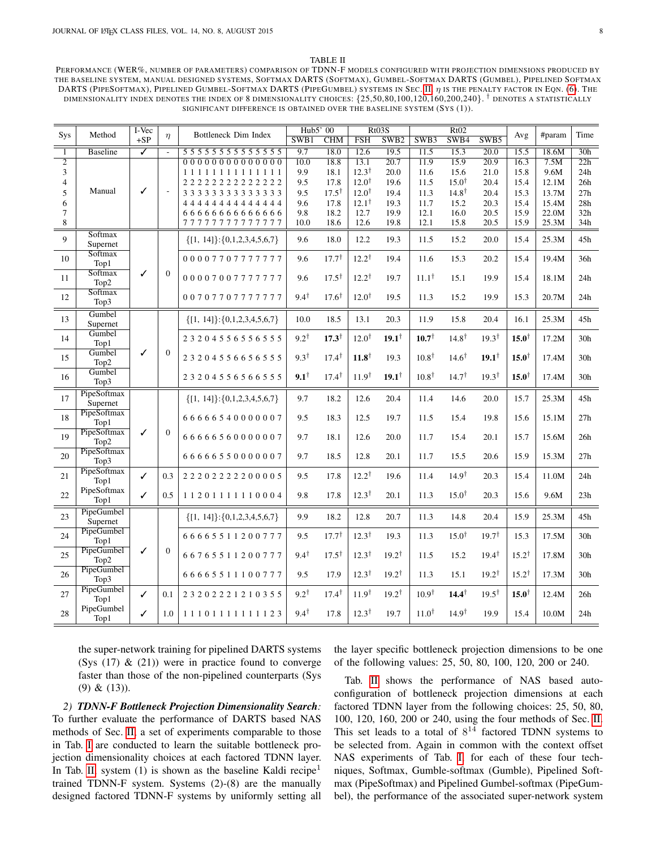### TABLE II

<span id="page-7-0"></span>PERFORMANCE (WER%, NUMBER OF PARAMETERS) COMPARISON OF TDNN-F MODELS CONFIGURED WITH PROJECTION DIMENSIONS PRODUCED BY THE BASELINE SYSTEM, MANUAL DESIGNED SYSTEMS, SOFTMAX DARTS (SOFTMAX), GUMBEL-SOFTMAX DARTS (GUMBEL), PIPELINED SOFTMAX DARTS (PIPESOFTMAX), PIPELINED GUMBEL-SOFTMAX DARTS (PIPEGUMBEL) SYSTEMS IN SEC. [II.](#page-2-1)  $\eta$  is the penalty factor in Eqn. [\(6\)](#page-3-2). The dimensionality index denotes the index of 8 dimensionality choices:  $\{25,50,80,100,120,160,200,240\}$ . † denotes a statistically SIGNIFICANT DIFFERENCE IS OBTAINED OVER THE BASELINE SYSTEM (SYS (1)).

|                |                         | I-Vec                   |                |                                          | Hub5' 00        |                  |                   | Rt03S             |                  | Rt02             |                   |                  |        |                  |
|----------------|-------------------------|-------------------------|----------------|------------------------------------------|-----------------|------------------|-------------------|-------------------|------------------|------------------|-------------------|------------------|--------|------------------|
| Sys            | Method                  | $+SP$                   | $\eta$         | Bottleneck Dim Index                     | SWB1            | CHM              | <b>FSH</b>        | SWB <sub>2</sub>  | SWB3             | SWB4             | SWB5              | Avg              | #param | Time             |
| $\overline{1}$ | <b>Baseline</b>         | $\overline{\checkmark}$ | $\sim$         | 5 5 5 5 5 5 5 5 5 5 5 5 5 5 5            | 9.7             | 18.0             | 12.6              | 19.5              | 11.5             | 15.3             | $\overline{20.0}$ | 15.5             | 18.6M  | 30 <sub>h</sub>  |
| $\overline{2}$ |                         |                         |                | 000000000000000                          | 10.0            | 18.8             | 13.1              | $\overline{20.7}$ | 11.9             | 15.9             | $\overline{20.9}$ | 16.3             | 7.5M   | $\overline{22h}$ |
| 3              |                         |                         |                | 11111111111111                           | 9.9             | 18.1             | $12.3^{\dagger}$  | 20.0              | 11.6             | 15.6             | 21.0              | 15.8             | 9.6M   | 24h              |
| 4              |                         |                         |                | 2222222222222                            | 9.5             | 17.8             | $12.0^{\dagger}$  | 19.6              | 11.5             | $15.0^{\dagger}$ | 20.4              | 15.4             | 12.1M  | 26h              |
| 5              | Manual                  | ✓                       | Ĭ.             | 3 3 3 3 3 3 3 3 3 3 3 3 3 3              | 9.5             | $17.5^{\dagger}$ | $12.0^{\dagger}$  | 19.4              | 11.3             | $14.8^{\dagger}$ | 20.4              | 15.3             | 13.7M  | 27h              |
| 6              |                         |                         |                |                                          | 9.6             | 17.8             | $12.1^{\dagger}$  | 19.3              | 11.7             | 15.2             | 20.3              | 15.4             | 15.4M  | 28h              |
| 7              |                         |                         |                | 6666666666666                            | 9.8             | 18.2             | 12.7              | 19.9              | 12.1             | 16.0             | 20.5              | 15.9             | 22.0M  | 32h              |
| 8              |                         |                         |                | 77777777777777                           | 10.0            | 18.6             | 12.6              | 19.8              | 12.1             | 15.8             | 20.5              | 15.9             | 25.3M  | 34h              |
| 9              | Softmax<br>Supernet     |                         |                | $\{[1, 14]\}:\{0,1,2,3,4,5,6,7\}$        | 9.6             | 18.0             | 12.2              | 19.3              | 11.5             | 15.2             | 20.0              | 15.4             | 25.3M  | 45h              |
| 10             | Softmax<br>Top1         |                         |                | 00007707777777                           | 9.6             | $17.7^{\dagger}$ | $12.2^{\dagger}$  | 19.4              | 11.6             | 15.3             | 20.2              | 15.4             | 19.4M  | 36h              |
| 11             | Softmax<br>Top2         | ✓                       | $\overline{0}$ | 00007007777777                           | 9.6             | $17.5^{\dagger}$ | $12.2^{\dagger}$  | 19.7              | $11.1^{\dagger}$ | 15.1             | 19.9              | 15.4             | 18.1M  | 24h              |
| 12             | Softmax<br>Top3         |                         |                | 00707707777777                           | $9.4^{\dagger}$ | $17.6^{\dagger}$ | $12.0^{\dagger}$  | 19.5              | 11.3             | 15.2             | 19.9              | 15.3             | 20.7M  | 24h              |
| 13             | Gumbel<br>Supernet      |                         |                | ${[1, 14]}:{[0,1,2,3,4,5,6,7]}$          | 10.0            | 18.5             | 13.1              | 20.3              | 11.9             | 15.8             | 20.4              | 16.1             | 25.3M  | 45h              |
| 14             | Gumbel<br>Top1          |                         |                | 23204556556555                           | $9.2^{\dagger}$ | $17.3^{\dagger}$ | $12.0^{\dagger}$  | $19.1^{\dagger}$  | $10.7^{\dagger}$ | $14.8^{\dagger}$ | $19.3^{\dagger}$  | $15.0^{\dagger}$ | 17.2M  | 30 <sub>h</sub>  |
| 15             | Gumbel<br>Top2          | ✓                       | $\Omega$       | 23204556656555                           | $9.3^{\dagger}$ | $17.4^{\dagger}$ | $11.8^{\dagger}$  | 19.3              | $10.8^{\dagger}$ | $14.6^{\dagger}$ | $19.1^{\dagger}$  | $15.0^{\dagger}$ | 17.4M  | 30 <sub>h</sub>  |
| 16             | Gumbel<br>Top3          |                         |                | 23204556566555                           | $9.1^{\dagger}$ | $17.4^{\dagger}$ | 11.9 <sup>†</sup> | $19.1^{\dagger}$  | $10.8^{\dagger}$ | $14.7^{\dagger}$ | $19.3^{\dagger}$  | $15.0^{\dagger}$ | 17.4M  | 30h              |
| 17             | PipeSoftmax<br>Supernet |                         |                | $\{[1, 14]\}:\{0, 1, 2, 3, 4, 5, 6, 7\}$ | 9.7             | 18.2             | 12.6              | 20.4              | 11.4             | 14.6             | 20.0              | 15.7             | 25.3M  | 45h              |
| 18             | PipeSoftmax<br>Top1     |                         |                | 66666540000007                           | 9.5             | 18.3             | 12.5              | 19.7              | 11.5             | 15.4             | 19.8              | 15.6             | 15.1M  | 27h              |
| 19             | PipeSoftmax<br>Top2     | ✓                       | $\overline{0}$ | 66666560000007                           | 9.7             | 18.1             | 12.6              | 20.0              | 11.7             | 15.4             | 20.1              | 15.7             | 15.6M  | 26h              |
| 20             | PipeSoftmax<br>Top3     |                         |                | 66666550000007                           | 9.7             | 18.5             | 12.8              | 20.1              | 11.7             | 15.5             | 20.6              | 15.9             | 15.3M  | 27h              |
| 21             | PipeSoftmax<br>Top1     | ✓                       | 0.3            | 22202222200005                           | 9.5             | 17.8             | $12.2^{\dagger}$  | 19.6              | 11.4             | $14.9^{\dagger}$ | 20.3              | 15.4             | 11.0M  | 24h              |
| 22             | PipeSoftmax<br>Top1     | ✓                       | 0.5            | 11201111110004                           | 9.8             | 17.8             | $12.3^{\dagger}$  | 20.1              | 11.3             | $15.0^{\dagger}$ | 20.3              | 15.6             | 9.6M   | 23h              |
| 23             | PipeGumbel<br>Supernet  |                         |                | $\{[1, 14]\}$ : {0,1,2,3,4,5,6,7}        | 9.9             | 18.2             | 12.8              | 20.7              | 11.3             | 14.8             | 20.4              | 15.9             | 25.3M  | 45h              |
| 24             | PipeGumbel<br>Top1      |                         |                | 66665511200777                           | 9.5             | $17.7^{\dagger}$ | $12.3^{\dagger}$  | 19.3              | 11.3             | $15.0^{\dagger}$ | $19.7^{\dagger}$  | 15.3             | 17.5M  | 30h              |
| 25             | PipeGumbel<br>Top2      | ✓                       | $\overline{0}$ | 66765511200777                           | $9.4^{\dagger}$ | $17.5^{\dagger}$ | $12.3^{\dagger}$  | $19.2^{\dagger}$  | 11.5             | 15.2             | $19.4^{\dagger}$  | $15.2^{\dagger}$ | 17.8M  | 30 <sub>h</sub>  |
| 26             | PipeGumbel<br>Top3      |                         |                | 66665511100777                           | 9.5             | 17.9             | $12.3^{\dagger}$  | $19.2^{\dagger}$  | 11.3             | 15.1             | $19.2^{\dagger}$  | $15.2^{\dagger}$ | 17.3M  | 30 <sub>h</sub>  |
| 27             | PipeGumbel<br>Top1      | ✓                       | 0.1            | 23202221210355                           | $9.2^{\dagger}$ | $17.4^{\dagger}$ | $11.9^{\dagger}$  | $19.2^{\dagger}$  | $10.9^{\dagger}$ | $14.4^{\dagger}$ | $19.5^{\dagger}$  | $15.0^{\dagger}$ | 12.4M  | 26h              |
| 28             | PipeGumbel<br>Top1      | ✓                       | 1.0            | 11101111111123                           | $9.4^{\dagger}$ | 17.8             | $12.3^{\dagger}$  | 19.7              | $11.0^{\dagger}$ | $14.9^{\dagger}$ | 19.9              | 15.4             | 10.0M  | 24h              |

the super-network training for pipelined DARTS systems (Sys  $(17)$  &  $(21)$ ) were in practice found to converge faster than those of the non-pipelined counterparts (Sys (9) & (13)).

*2) TDNN-F Bottleneck Projection Dimensionality Search:* To further evaluate the performance of DARTS based NAS methods of Sec. [II,](#page-2-1) a set of experiments comparable to those in Tab. [I](#page-6-0) are conducted to learn the suitable bottleneck projection dimensionality choices at each factored TDNN layer. In Tab. [II,](#page-7-0) system  $(1)$  is shown as the baseline Kaldi recipe<sup>1</sup> trained TDNN-F system. Systems (2)-(8) are the manually designed factored TDNN-F systems by uniformly setting all the layer specific bottleneck projection dimensions to be one of the following values: 25, 50, 80, 100, 120, 200 or 240.

Tab. [II](#page-7-0) shows the performance of NAS based autoconfiguration of bottleneck projection dimensions at each factored TDNN layer from the following choices: 25, 50, 80, 100, 120, 160, 200 or 240, using the four methods of Sec. [II.](#page-2-1) This set leads to a total of  $8^{14}$  factored TDNN systems to be selected from. Again in common with the context offset NAS experiments of Tab. [I,](#page-6-0) for each of these four techniques, Softmax, Gumble-softmax (Gumble), Pipelined Softmax (PipeSoftmax) and Pipelined Gumbel-softmax (PipeGumbel), the performance of the associated super-network system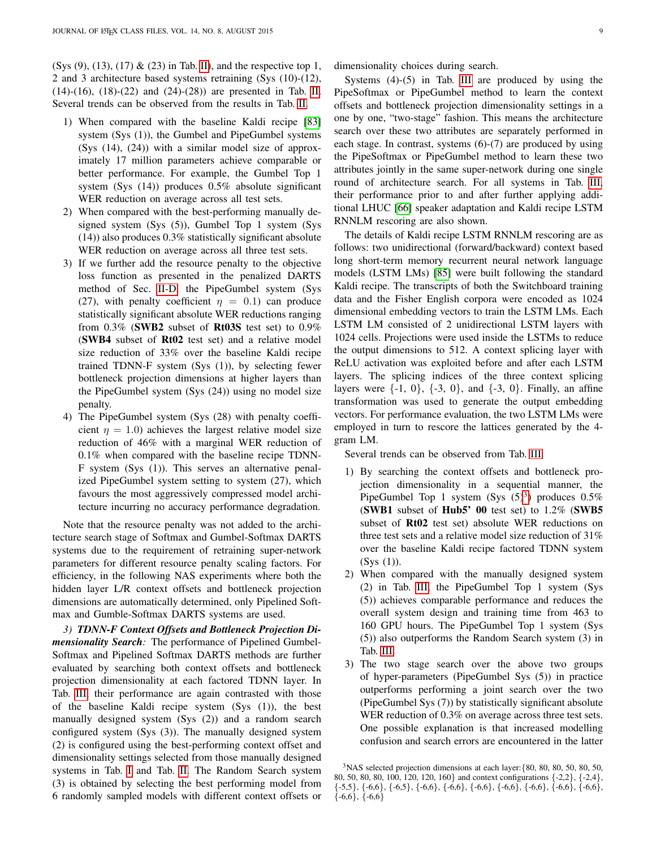(Sys  $(9)$ ,  $(13)$ ,  $(17)$  &  $(23)$  in Tab. [II\)](#page-7-0), and the respective top 1, 2 and 3 architecture based systems retraining (Sys (10)-(12), (14)-(16), (18)-(22) and (24)-(28)) are presented in Tab. [II.](#page-7-0) Several trends can be observed from the results in Tab. [II.](#page-7-0)

- 1) When compared with the baseline Kaldi recipe [\[83\]](#page-13-14) system (Sys (1)), the Gumbel and PipeGumbel systems (Sys (14), (24)) with a similar model size of approximately 17 million parameters achieve comparable or better performance. For example, the Gumbel Top 1 system (Sys (14)) produces 0.5% absolute significant WER reduction on average across all test sets.
- 2) When compared with the best-performing manually designed system (Sys (5)), Gumbel Top 1 system (Sys (14)) also produces 0.3% statistically significant absolute WER reduction on average across all three test sets.
- 3) If we further add the resource penalty to the objective loss function as presented in the penalized DARTS method of Sec. [II-D,](#page-3-3) the PipeGumbel system (Sys (27), with penalty coefficient  $\eta = 0.1$ ) can produce statistically significant absolute WER reductions ranging from  $0.3\%$  (SWB2 subset of Rt03S test set) to  $0.9\%$ (SWB4 subset of Rt02 test set) and a relative model size reduction of 33% over the baseline Kaldi recipe trained TDNN-F system (Sys (1)), by selecting fewer bottleneck projection dimensions at higher layers than the PipeGumbel system (Sys (24)) using no model size penalty.
- 4) The PipeGumbel system (Sys (28) with penalty coefficient  $\eta = 1.0$ ) achieves the largest relative model size reduction of 46% with a marginal WER reduction of 0.1% when compared with the baseline recipe TDNN-F system (Sys (1)). This serves an alternative penalized PipeGumbel system setting to system (27), which favours the most aggressively compressed model architecture incurring no accuracy performance degradation.

Note that the resource penalty was not added to the architecture search stage of Softmax and Gumbel-Softmax DARTS systems due to the requirement of retraining super-network parameters for different resource penalty scaling factors. For efficiency, in the following NAS experiments where both the hidden layer L/R context offsets and bottleneck projection dimensions are automatically determined, only Pipelined Softmax and Gumble-Softmax DARTS systems are used.

*3) TDNN-F Context Offsets and Bottleneck Projection Dimensionality Search:* The performance of Pipelined Gumbel-Softmax and Pipelined Softmax DARTS methods are further evaluated by searching both context offsets and bottleneck projection dimensionality at each factored TDNN layer. In Tab. [III,](#page-9-0) their performance are again contrasted with those of the baseline Kaldi recipe system (Sys (1)), the best manually designed system (Sys (2)) and a random search configured system (Sys (3)). The manually designed system (2) is configured using the best-performing context offset and dimensionality settings selected from those manually designed systems in Tab. [I](#page-6-0) and Tab. [II.](#page-7-0) The Random Search system (3) is obtained by selecting the best performing model from 6 randomly sampled models with different context offsets or

dimensionality choices during search.

Systems (4)-(5) in Tab. [III](#page-9-0) are produced by using the PipeSoftmax or PipeGumbel method to learn the context offsets and bottleneck projection dimensionality settings in a one by one, "two-stage" fashion. This means the architecture search over these two attributes are separately performed in each stage. In contrast, systems (6)-(7) are produced by using the PipeSoftmax or PipeGumbel method to learn these two attributes jointly in the same super-network during one single round of architecture search. For all systems in Tab. [III,](#page-9-0) their performance prior to and after further applying additional LHUC [\[66\]](#page-13-0) speaker adaptation and Kaldi recipe LSTM RNNLM rescoring are also shown.

The details of Kaldi recipe LSTM RNNLM rescoring are as follows: two unidirectional (forward/backward) context based long short-term memory recurrent neural network language models (LSTM LMs) [\[85\]](#page-13-16) were built following the standard Kaldi recipe. The transcripts of both the Switchboard training data and the Fisher English corpora were encoded as 1024 dimensional embedding vectors to train the LSTM LMs. Each LSTM LM consisted of 2 unidirectional LSTM layers with 1024 cells. Projections were used inside the LSTMs to reduce the output dimensions to 512. A context splicing layer with ReLU activation was exploited before and after each LSTM layers. The splicing indices of the three context splicing layers were  $\{-1, 0\}$ ,  $\{-3, 0\}$ , and  $\{-3, 0\}$ . Finally, an affine transformation was used to generate the output embedding vectors. For performance evaluation, the two LSTM LMs were employed in turn to rescore the lattices generated by the 4 gram LM.

Several trends can be observed from Tab. [III.](#page-9-0)

- 1) By searching the context offsets and bottleneck projection dimensionality in a sequential manner, the PipeGumbel Top 1 system (Sys  $(5)^3$  $(5)^3$ ) produces 0.5% (SWB1 subset of Hub5' 00 test set) to 1.2% (SWB5 subset of Rt02 test set) absolute WER reductions on three test sets and a relative model size reduction of 31% over the baseline Kaldi recipe factored TDNN system  $(Sys (1)).$
- 2) When compared with the manually designed system (2) in Tab. [III,](#page-9-0) the PipeGumbel Top 1 system (Sys (5)) achieves comparable performance and reduces the overall system design and training time from 463 to 160 GPU hours. The PipeGumbel Top 1 system (Sys (5)) also outperforms the Random Search system (3) in Tab. [III.](#page-9-0)
- 3) The two stage search over the above two groups of hyper-parameters (PipeGumbel Sys (5)) in practice outperforms performing a joint search over the two (PipeGumbel Sys (7)) by statistically significant absolute WER reduction of 0.3% on average across three test sets. One possible explanation is that increased modelling confusion and search errors are encountered in the latter

<span id="page-8-0"></span><sup>3</sup>NAS selected projection dimensions at each layer:{80, 80, 80, 50, 80, 50, 80, 50, 80, 80, 100, 120, 120, 160} and context configurations {-2,2}, {-2,4},  ${\text{-5,5}}, {\text{-6,6}}, {\text{-6,5}}, {\text{-6,6}}, {\text{-6,6}}, {\text{-6,6}}, {\text{-6,6}}, {\text{-6,6}}, {\text{-6,6}}, {\text{-6,6}}, {\text{-6,6}}, {\text{-6,6}}$  $\{-6,6\},\{-6,6\}$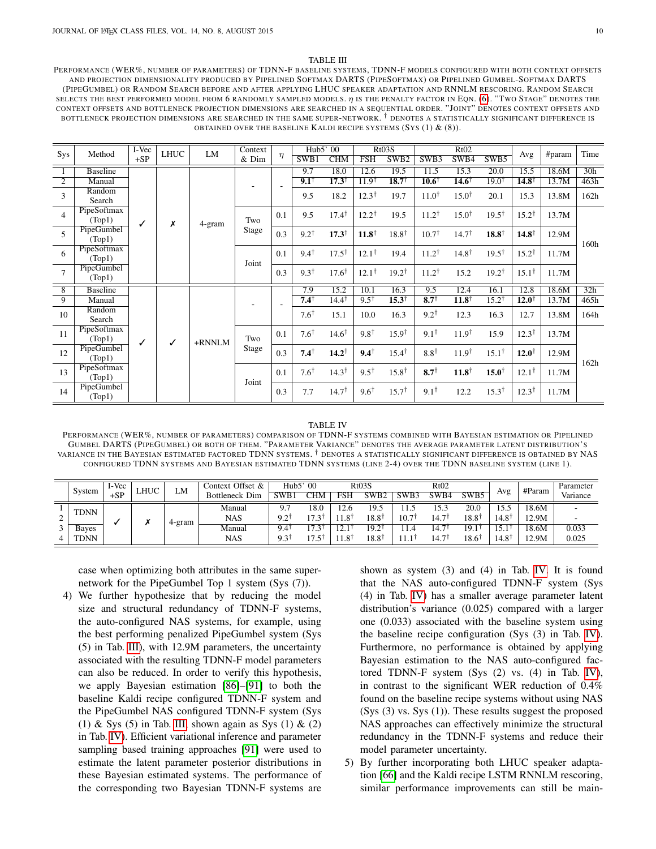#### TABLE III

<span id="page-9-0"></span>PERFORMANCE (WER%, NUMBER OF PARAMETERS) OF TDNN-F BASELINE SYSTEMS, TDNN-F MODELS CONFIGURED WITH BOTH CONTEXT OFFSETS AND PROJECTION DIMENSIONALITY PRODUCED BY PIPELINED SOFTMAX DARTS (PIPESOFTMAX) OR PIPELINED GUMBEL-SOFTMAX DARTS (PIPEGUMBEL) OR RANDOM SEARCH BEFORE AND AFTER APPLYING LHUC SPEAKER ADAPTATION AND RNNLM RESCORING. RANDOM SEARCH SELECTS THE BEST PERFORMED MODEL FROM 6 RANDOMLY SAMPLED MODELS.  $\eta$  is the penalty factor in Eqn. [\(6\)](#page-3-2). "Two Stage" denotes the CONTEXT OFFSETS AND BOTTLENECK PROJECTION DIMENSIONS ARE SEARCHED IN A SEQUENTIAL ORDER. "JOINT" DENOTES CONTEXT OFFSETS AND BOTTLENECK PROJECTION DIMENSIONS ARE SEARCHED IN THE SAME SUPER-NETWORK. † DENOTES A STATISTICALLY SIGNIFICANT DIFFERENCE IS OBTAINED OVER THE BASELINE KALDI RECIPE SYSTEMS  $(Sys(1) & (8))$ .

|                | Method                | I-Vec | <b>LHUC</b> | <b>LM</b> | Context      |        | Hub5' 00        |                  |                  | Rt03S            |                             | Rt02              |                                      | Avg                         | #param | Time |
|----------------|-----------------------|-------|-------------|-----------|--------------|--------|-----------------|------------------|------------------|------------------|-----------------------------|-------------------|--------------------------------------|-----------------------------|--------|------|
| Sys            |                       | $+SP$ |             |           | & Dim        | $\eta$ | SWB1            | <b>CHM</b>       | <b>FSH</b>       | SWB <sub>2</sub> | SWB3                        | SWB4              | SWB5                                 |                             |        |      |
|                | <b>Baseline</b>       |       |             |           |              |        | 9.7             | 18.0             | 12.6             | 19.5             | 11.5                        | 15.3              | 20.0                                 | 15.5                        | 18.6M  | 30h  |
| $\overline{2}$ | Manual                |       |             |           |              |        | $9.1^{\dagger}$ | $17.3^{\dagger}$ | $11.9^{\dagger}$ | $18.7^{\dagger}$ | $\overline{10.6}^{\dagger}$ | $14.6^{\dagger}$  | $19.0^{\dagger}$                     | $\overline{14.8}^{\dagger}$ | 13.7M  | 463h |
| 3              | Random<br>Search      | ✓     |             | 4-gram    |              |        | 9.5             | 18.2             | $12.3^{\dagger}$ | 19.7             | $11.0^{\dagger}$            | $15.0^{\dagger}$  | 20.1                                 | 15.3                        | 13.8M  | 162h |
| $\overline{4}$ | PipeSoftmax<br>(Top1) |       | x           |           | Two          | 0.1    | 9.5             | $17.4^{\dagger}$ | $12.2^{\dagger}$ | 19.5             | $11.2^{\dagger}$            | $15.0^{\dagger}$  | $19.5^{\dagger}$                     | $15.2^{\dagger}$            | 13.7M  |      |
| $\overline{5}$ | PipeGumbel<br>(Top1)  |       |             |           | <b>Stage</b> | 0.3    | $9.2^{\dagger}$ | $17.3^{\dagger}$ | $11.8^{\dagger}$ | $18.8^{\dagger}$ | $10.7^{\dagger}$            | $14.7^{\dagger}$  | $18.8^{\dagger}$                     | $14.8^{\dagger}$            | 12.9M  | 160h |
| 6              | PipeSoftmax<br>(Top1) |       |             |           | Joint        | 0.1    | $9.4^{\dagger}$ | $17.5^{\dagger}$ | $12.1^{\dagger}$ | 19.4             | $11.2^{\dagger}$            | $14.8^{\dagger}$  | $19.5^{\dagger}$                     | $15.2^{\dagger}$            | 11.7M  |      |
| $\overline{7}$ | PipeGumbel<br>(Top1)  |       |             |           |              | 0.3    | $9.3^{\dagger}$ | $17.6^{\dagger}$ | $12.1^{\dagger}$ | $19.2^{\dagger}$ | $11.2^{\dagger}$            | 15.2              | $19.2^{\dagger}$                     | $15.1^{\dagger}$            | 11.7M  |      |
| $\overline{8}$ | <b>Baseline</b>       |       |             |           |              |        | 7.9             | 15.2             | 10.1             | 16.3             | 9.5                         | 12.4              | 16.1                                 | 12.8                        | 18.6M  | 32h  |
| 9              | Manual                |       |             |           |              |        | $7.4^{\dagger}$ | $14.4^{\dagger}$ | $9.5^{\dagger}$  | $15.3^{\dagger}$ | $8.7^{\dagger}$             | $11.8^{\dagger}$  | $15.2^{\dagger}$                     | $12.0^{\dagger}$            | 13.7M  | 465h |
| 10             | Random<br>Search      |       |             |           |              |        | $7.6^{\dagger}$ | 15.1             | 10.0             | 16.3             | $9.2^{\dagger}$             | 12.3              | 16.3                                 | 12.7                        | 13.8M  | 164h |
| 11             | PipeSoftmax<br>(Top1) | ✓     | ✓           | $+RNNLM$  | Two          | 0.1    | $7.6^{\dagger}$ | $14.6^{\dagger}$ | $9.8^{\dagger}$  | $15.9^{\dagger}$ | $9.1^+$                     | $11.9^{\dagger}$  | 15.9                                 | $12.3^{\dagger}$            | 13.7M  |      |
| 12             | PipeGumbel<br>(Top1)  |       |             |           | Stage        | 0.3    | $7.4^{\dagger}$ | $14.2^{\dagger}$ | $9.4^{\dagger}$  | $15.4^{\dagger}$ | $8.8^{\dagger}$             | 11.9 <sup>†</sup> | $15.1^{\dagger}$                     | $12.0^{\dagger}$            | 12.9M  | 162h |
| 13             | PipeSoftmax<br>(Top1) |       |             |           | Joint        | 0.1    | $7.6^{\dagger}$ | $14.3^{\dagger}$ | $9.5^{\dagger}$  | $15.8^{\dagger}$ | $8.7^{\dagger}$             | $11.8^{\dagger}$  | $12.1^{\dagger}$<br>$15.0^{\dagger}$ | 11.7M                       |        |      |
| 14             | PipeGumbel<br>(Top1)  |       |             |           |              | 0.3    | 7.7             | $14.7^{\dagger}$ | $9.6^{\dagger}$  | $15.7^{\dagger}$ | $9.1^{\dagger}$             | 12.2              | $15.3^{\dagger}$                     | $12.3^{\dagger}$            | 11.7M  |      |

#### TABLE IV

<span id="page-9-1"></span>PERFORMANCE (WER%, NUMBER OF PARAMETERS) COMPARISON OF TDNN-F SYSTEMS COMBINED WITH BAYESIAN ESTIMATION OR PIPELINED GUMBEL DARTS (PIPEGUMBEL) OR BOTH OF THEM. "PARAMETER VARIANCE" DENOTES THE AVERAGE PARAMETER LATENT DISTRIBUTION'S VARIANCE IN THE BAYESIAN ESTIMATED FACTORED TDNN SYSTEMS. † DENOTES A STATISTICALLY SIGNIFICANT DIFFERENCE IS OBTAINED BY NAS CONFIGURED TDNN SYSTEMS AND BAYESIAN ESTIMATED TDNN SYSTEMS (LINE 2-4) OVER THE TDNN BASELINE SYSTEM (LINE 1).

|             | System      | I-Vec | LHUC | LM     | Context Offset &      | $\Omega$<br>Hub5' |                                              | Rt03S           |       | Rt02 |      |                  |                  | #Param | Parameter |
|-------------|-------------|-------|------|--------|-----------------------|-------------------|----------------------------------------------|-----------------|-------|------|------|------------------|------------------|--------|-----------|
|             |             | $+SP$ |      |        | <b>Bottleneck Dim</b> | SWB1              | `НM                                          | FSH             | SWB2  | SWB3 | SWB4 | SWB5             | Avg              |        | Variance  |
|             | <b>TDNN</b> |       |      |        | Manual                | 9.7               | 18.0                                         | .2.6            | 19.5  | 11.5 | 15.3 | 20.0             | 1 J              | 18.6M  |           |
| $\sim$<br>∼ |             |       |      |        | <b>NAS</b>            | 921<br>ــ         | 17 7 1                                       | $1.8^{\dagger}$ | 18.81 | 10.7 | 14.7 | $18.8^{\dagger}$ | $4.8^{\circ}$    | 12.9M  | -         |
| 3           | Bayes       |       |      | 4-gram | Manual                | 9.4               | ∽<br>$\cdot$ 3 <sup><math>\cdot</math></sup> | $\sim$<br>.     | 19.2° | 11.4 | 14.  |                  |                  | 18.6M  | 0.033     |
| 4           | <b>TDNN</b> |       |      |        | <b>NAS</b>            | $9.3^{\dagger}$   | $\overline{ }$<br>$7.5^{\dagger}$            | $1.8^{\dagger}$ | 18.8† | 1.1  | 14.7 | $18.6^{\dagger}$ | $.4.8^{\dagger}$ | 12.9M  | 0.025     |

case when optimizing both attributes in the same supernetwork for the PipeGumbel Top 1 system (Sys (7)).

4) We further hypothesize that by reducing the model size and structural redundancy of TDNN-F systems, the auto-configured NAS systems, for example, using the best performing penalized PipeGumbel system (Sys (5) in Tab. [III\)](#page-9-0), with 12.9M parameters, the uncertainty associated with the resulting TDNN-F model parameters can also be reduced. In order to verify this hypothesis, we apply Bayesian estimation [\[86\]](#page-13-17)–[\[91\]](#page-13-18) to both the baseline Kaldi recipe configured TDNN-F system and the PipeGumbel NAS configured TDNN-F system (Sys (1) & Sys (5) in Tab. [III,](#page-9-0) shown again as Sys (1) & (2) in Tab. [IV\)](#page-9-1). Efficient variational inference and parameter sampling based training approaches [\[91\]](#page-13-18) were used to estimate the latent parameter posterior distributions in these Bayesian estimated systems. The performance of the corresponding two Bayesian TDNN-F systems are

shown as system (3) and (4) in Tab. [IV.](#page-9-1) It is found that the NAS auto-configured TDNN-F system (Sys (4) in Tab. [IV\)](#page-9-1) has a smaller average parameter latent distribution's variance (0.025) compared with a larger one (0.033) associated with the baseline system using the baseline recipe configuration (Sys (3) in Tab. [IV\)](#page-9-1). Furthermore, no performance is obtained by applying Bayesian estimation to the NAS auto-configured factored TDNN-F system (Sys (2) vs. (4) in Tab. [IV\)](#page-9-1), in contrast to the significant WER reduction of 0.4% found on the baseline recipe systems without using NAS (Sys (3) vs. Sys (1)). These results suggest the proposed NAS approaches can effectively minimize the structural redundancy in the TDNN-F systems and reduce their model parameter uncertainty.

5) By further incorporating both LHUC speaker adaptation [\[66\]](#page-13-0) and the Kaldi recipe LSTM RNNLM rescoring, similar performance improvements can still be main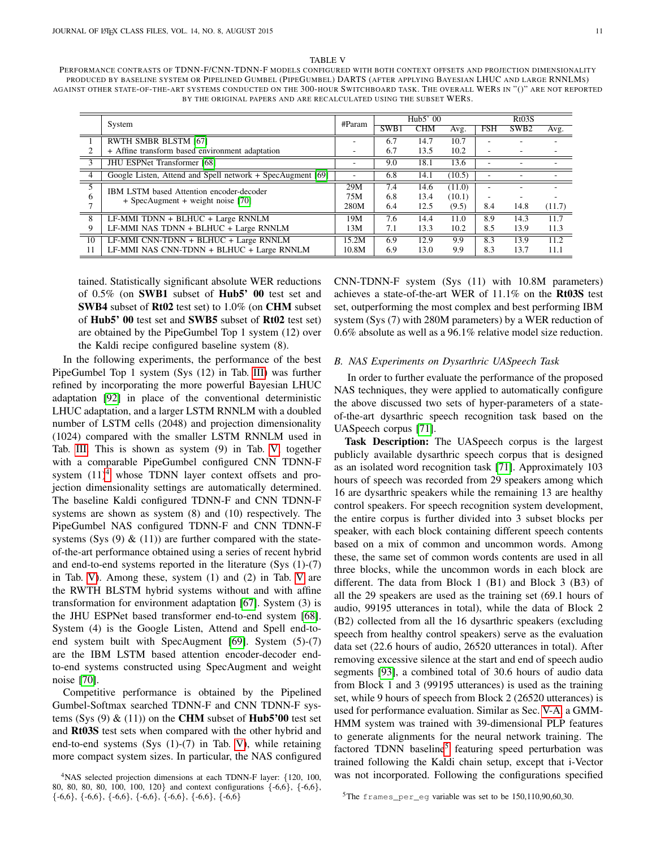TABLE V

<span id="page-10-1"></span>PERFORMANCE CONTRASTS OF TDNN-F/CNN-TDNN-F MODELS CONFIGURED WITH BOTH CONTEXT OFFSETS AND PROJECTION DIMENSIONALITY PRODUCED BY BASELINE SYSTEM OR PIPELINED GUMBEL (PIPEGUMBEL) DARTS (AFTER APPLYING BAYESIAN LHUC AND LARGE RNNLMS) AGAINST OTHER STATE-OF-THE-ART SYSTEMS CONDUCTED ON THE 300-HOUR SWITCHBOARD TASK. THE OVERALL WERS IN "()" ARE NOT REPORTED BY THE ORIGINAL PAPERS AND ARE RECALCULATED USING THE SUBSET WERS.

|                          | System                                                     | #Param |                  | Hub5' 00   |        | Rt03S      |                  |        |  |
|--------------------------|------------------------------------------------------------|--------|------------------|------------|--------|------------|------------------|--------|--|
|                          |                                                            |        | SW <sub>B1</sub> | <b>CHM</b> | Avg.   | <b>FSH</b> | SWB <sub>2</sub> | Avg.   |  |
|                          | <b>RWTH SMBR BLSTM [67]</b>                                |        | 6.7              | 14.7       | 10.7   |            |                  |        |  |
|                          | + Affine transform based environment adaptation            |        | 6.7              | 13.5       | 10.2   |            |                  |        |  |
| $\overline{\mathcal{E}}$ | JHU ESPNet Transformer [68]                                |        | 9.0              | 18.1       | 13.6   |            |                  |        |  |
| $\overline{4}$           | Google Listen, Attend and Spell network + SpecAugment [69] |        | 6.8              | 14.1       | (10.5) |            |                  |        |  |
| $\overline{5}$           | IBM LSTM based Attention encoder-decoder                   | 29M    | 7.4              | 14.6       | (11.0) |            |                  |        |  |
| 6                        | $+$ SpecAugment $+$ weight noise [70]                      | 75M    | 6.8              | 13.4       | (10.1) | -          |                  |        |  |
|                          |                                                            | 280M   | 6.4              | 12.5       | (9.5)  | 8.4        | 14.8             | (11.7) |  |
| 8                        | LF-MMI TDNN + BLHUC + Large RNNLM                          | 19M    | 7.6              | 14.4       | 11.0   | 8.9        | 14.3             | 11.7   |  |
| 9                        | LF-MMI NAS TDNN + BLHUC + Large RNNLM                      | 13M    | 7.1              | 13.3       | 10.2   | 8.5        | 13.9             | 11.3   |  |
| 10                       | LF-MMI CNN-TDNN + BLHUC + Large RNNLM                      | 15.2M  | 6.9              | 12.9       | 9.9    | 8.3        | 13.9             | 11.2   |  |
| 11                       | LF-MMI NAS CNN-TDNN + BLHUC + Large RNNLM                  | 10.8M  | 6.9              | 13.0       | 9.9    | 8.3        | 13.7             | 11.1   |  |

tained. Statistically significant absolute WER reductions of 0.5% (on SWB1 subset of Hub5' 00 test set and SWB4 subset of Rt02 test set) to 1.0% (on CHM subset of Hub5' 00 test set and SWB5 subset of Rt02 test set) are obtained by the PipeGumbel Top 1 system (12) over the Kaldi recipe configured baseline system (8).

In the following experiments, the performance of the best PipeGumbel Top 1 system (Sys (12) in Tab. [III\)](#page-9-0) was further refined by incorporating the more powerful Bayesian LHUC adaptation [\[92\]](#page-13-20) in place of the conventional deterministic LHUC adaptation, and a larger LSTM RNNLM with a doubled number of LSTM cells (2048) and projection dimensionality (1024) compared with the smaller LSTM RNNLM used in Tab. [III.](#page-9-0) This is shown as system (9) in Tab. [V,](#page-10-1) together with a comparable PipeGumbel configured CNN TDNN-F system  $(11)^4$  $(11)^4$  whose TDNN layer context offsets and projection dimensionality settings are automatically determined. The baseline Kaldi configured TDNN-F and CNN TDNN-F systems are shown as system (8) and (10) respectively. The PipeGumbel NAS configured TDNN-F and CNN TDNN-F systems (Sys  $(9)$  &  $(11)$ ) are further compared with the stateof-the-art performance obtained using a series of recent hybrid and end-to-end systems reported in the literature (Sys (1)-(7) in Tab. [V\)](#page-10-1). Among these, system (1) and (2) in Tab. [V](#page-10-1) are the RWTH BLSTM hybrid systems without and with affine transformation for environment adaptation [\[67\]](#page-13-1). System (3) is the JHU ESPNet based transformer end-to-end system [\[68\]](#page-13-9). System (4) is the Google Listen, Attend and Spell end-toend system built with SpecAugment [\[69\]](#page-13-19). System (5)-(7) are the IBM LSTM based attention encoder-decoder endto-end systems constructed using SpecAugment and weight noise [\[70\]](#page-13-2).

Competitive performance is obtained by the Pipelined Gumbel-Softmax searched TDNN-F and CNN TDNN-F systems (Sys  $(9)$  &  $(11)$ ) on the CHM subset of Hub5'00 test set and Rt03S test sets when compared with the other hybrid and end-to-end systems (Sys (1)-(7) in Tab. [V\)](#page-10-1), while retaining more compact system sizes. In particular, the NAS configured

<span id="page-10-2"></span><sup>4</sup>NAS selected projection dimensions at each TDNN-F layer: {120, 100, 80, 80, 80, 80, 100, 100, 120} and context configurations {-6,6}, {-6,6},  $\{-6,6\}, \{-6,6\}, \{-6,6\}, \{-6,6\}, \{-6,6\}, \{-6,6\}, \{-6,6\}$ 

CNN-TDNN-F system (Sys (11) with 10.8M parameters) achieves a state-of-the-art WER of 11.1% on the Rt03S test set, outperforming the most complex and best performing IBM system (Sys (7) with 280M parameters) by a WER reduction of 0.6% absolute as well as a 96.1% relative model size reduction.

#### <span id="page-10-0"></span>*B. NAS Experiments on Dysarthric UASpeech Task*

In order to further evaluate the performance of the proposed NAS techniques, they were applied to automatically configure the above discussed two sets of hyper-parameters of a stateof-the-art dysarthric speech recognition task based on the UASpeech corpus [\[71\]](#page-13-3).

Task Description: The UASpeech corpus is the largest publicly available dysarthric speech corpus that is designed as an isolated word recognition task [\[71\]](#page-13-3). Approximately 103 hours of speech was recorded from 29 speakers among which 16 are dysarthric speakers while the remaining 13 are healthy control speakers. For speech recognition system development, the entire corpus is further divided into 3 subset blocks per speaker, with each block containing different speech contents based on a mix of common and uncommon words. Among these, the same set of common words contents are used in all three blocks, while the uncommon words in each block are different. The data from Block 1 (B1) and Block 3 (B3) of all the 29 speakers are used as the training set (69.1 hours of audio, 99195 utterances in total), while the data of Block 2 (B2) collected from all the 16 dysarthric speakers (excluding speech from healthy control speakers) serve as the evaluation data set (22.6 hours of audio, 26520 utterances in total). After removing excessive silence at the start and end of speech audio segments [\[93\]](#page-13-21), a combined total of 30.6 hours of audio data from Block 1 and 3 (99195 utterances) is used as the training set, while 9 hours of speech from Block 2 (26520 utterances) is used for performance evaluation. Similar as Sec. [V-A,](#page-5-0) a GMM-HMM system was trained with 39-dimensional PLP features to generate alignments for the neural network training. The factored TDNN baseline<sup>[5](#page-10-3)</sup> featuring speed perturbation was trained following the Kaldi chain setup, except that i-Vector was not incorporated. Following the configurations specified

<span id="page-10-3"></span><sup>5</sup>The frames\_per\_eg variable was set to be 150,110,90,60,30.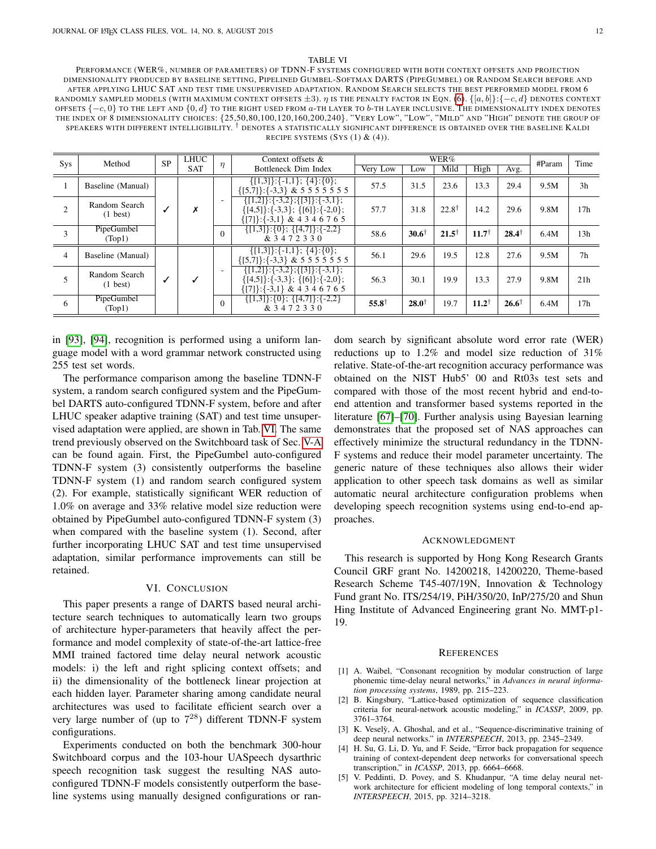#### TABLE VI

<span id="page-11-2"></span>PERFORMANCE (WER%, NUMBER OF PARAMETERS) OF TDNN-F SYSTEMS CONFIGURED WITH BOTH CONTEXT OFFSETS AND PROJECTION DIMENSIONALITY PRODUCED BY BASELINE SETTING, PIPELINED GUMBEL-SOFTMAX DARTS (PIPEGUMBEL) OR RANDOM SEARCH BEFORE AND AFTER APPLYING LHUC SAT AND TEST TIME UNSUPERVISED ADAPTATION. RANDOM SEARCH SELECTS THE BEST PERFORMED MODEL FROM 6 RANDOMLY SAMPLED MODELS (WITH MAXIMUM CONTEXT OFFSETS  $\pm 3$ ).  $\eta$  is the penalty factor in Eqn. [\(6\)](#page-3-2).  $\{[a, b]\}$ : $\{-c, d\}$  denotes context OFFSETS  $\{-c, 0\}$  TO THE LEFT AND  $\{0, d\}$  TO THE RIGHT USED FROM  $a$ -TH LAYER TO  $b$ -TH LAYER INCLUSIVE. THE DIMENSIONALITY INDEX DENOTES THE INDEX OF 8 DIMENSIONALITY CHOICES: {25,50,80,100,120,160,200,240}. "VERY LOW", "LOW", "MILD" AND "HIGH" DENOTE THE GROUP OF speakers with different intelligibility. † denotes a statistically significant difference is obtained over the baseline Kaldi RECIPE SYSTEMS  $(Sys(1) & (4))$ .

| Sys            | Method                              | <b>SP</b> | LHUC       |                                      | Context offsets &                                                                                                        |                  |                  | WER%             |                  |                  | #Param | Time            |
|----------------|-------------------------------------|-----------|------------|--------------------------------------|--------------------------------------------------------------------------------------------------------------------------|------------------|------------------|------------------|------------------|------------------|--------|-----------------|
|                |                                     |           | <b>SAT</b> | $\eta$                               | Bottleneck Dim Index                                                                                                     | Very Low         | Low              | Mild             | High             | Avg.             |        |                 |
|                | Baseline (Manual)                   |           |            |                                      | $\{[1,3]\}:\{-1,1\}; \{4\}:\{0\};$<br>$\{[5,7]\}:\{-3,3\}$ & 5 5 5 5 5 5 5 5                                             | 57.5             | 31.5             | 23.6             | 13.3             | 29.4             | 9.5M   | 3 <sub>h</sub>  |
| $\overline{2}$ | Random Search<br>$(1 \text{ best})$ |           | Х          | $\overline{\phantom{a}}$<br>$\Omega$ | $\{[1,2]\}:\{-3,2\};\{[3]\}:\{-3,1\};$<br>$\{ [4,5] \}$ : {-3,3}; {[6]}: {-2,0};<br>$\{ [7] \}$ : {-3,1} & 4 3 4 6 7 6 5 | 57.7             | 31.8             | $22.8^{\dagger}$ | 14.2             | 29.6             | 9.8M   | 17 <sub>h</sub> |
| 3              | PipeGumbel<br>(Top1)                |           |            |                                      | $\{[1,3]\}:\{0\}; \{[4,7]\}:\{-2,2\}$<br>& 3472330                                                                       | 58.6             | $30.6^{\dagger}$ | $21.5^{\dagger}$ | $11.7^{\dagger}$ | $28.4^{\dagger}$ | 6.4M   | 13h             |
| $\overline{4}$ | Baseline (Manual)                   |           |            |                                      | $\{[1,3]\}:\{-1,1\}; \{4\}:\{0\};$<br>$\{[5,7]\}:\{-3,3\}$ & 5 5 5 5 5 5 5 5                                             | 56.1             | 29.6             | 19.5             | 12.8             | 27.6             | 9.5M   | 7 <sub>h</sub>  |
|                | Random Search<br>$(1 \text{ best})$ |           |            | $\overline{\phantom{a}}$             | $\{ [1,2] \}$ : {-3,2}; {[3]}: {-3,1};<br>$\{ [4,5] \}$ : {-3,3}; {[6]}: {-2,0};<br>$\{ [7] \}$ : {-3,1} & 4 3 4 6 7 6 5 | 56.3             | 30.1             | 19.9             | 13.3             | 27.9             | 9.8M   | 21h             |
| 6              | PipeGumbel<br>(Top1)                |           |            | $\Omega$                             | $\{ [1,3] \}$ : $\{0\}$ ; $\{ [4,7] \}$ : $\{-2,2\}$<br>& 3472330                                                        | $55.8^{\dagger}$ | $28.0^{\dagger}$ | 19.7             | $11.2^{\dagger}$ | $26.6^{\dagger}$ | 6.4M   | 17 <sub>h</sub> |
|                |                                     |           |            |                                      |                                                                                                                          |                  |                  |                  |                  |                  |        |                 |

in [\[93\]](#page-13-21), [\[94\]](#page-13-22), recognition is performed using a uniform language model with a word grammar network constructed using 255 test set words.

The performance comparison among the baseline TDNN-F system, a random search configured system and the PipeGumbel DARTS auto-configured TDNN-F system, before and after LHUC speaker adaptive training (SAT) and test time unsupervised adaptation were applied, are shown in Tab. [VI.](#page-11-2) The same trend previously observed on the Switchboard task of Sec. [V-A](#page-5-0) can be found again. First, the PipeGumbel auto-configured TDNN-F system (3) consistently outperforms the baseline TDNN-F system (1) and random search configured system (2). For example, statistically significant WER reduction of 1.0% on average and 33% relative model size reduction were obtained by PipeGumbel auto-configured TDNN-F system (3) when compared with the baseline system (1). Second, after further incorporating LHUC SAT and test time unsupervised adaptation, similar performance improvements can still be retained.

### VI. CONCLUSION

This paper presents a range of DARTS based neural architecture search techniques to automatically learn two groups of architecture hyper-parameters that heavily affect the performance and model complexity of state-of-the-art lattice-free MMI trained factored time delay neural network acoustic models: i) the left and right splicing context offsets; and ii) the dimensionality of the bottleneck linear projection at each hidden layer. Parameter sharing among candidate neural architectures was used to facilitate efficient search over a very large number of (up to  $7^{28}$ ) different TDNN-F system configurations.

Experiments conducted on both the benchmark 300-hour Switchboard corpus and the 103-hour UASpeech dysarthric speech recognition task suggest the resulting NAS autoconfigured TDNN-F models consistently outperform the baseline systems using manually designed configurations or random search by significant absolute word error rate (WER) reductions up to 1.2% and model size reduction of 31% relative. State-of-the-art recognition accuracy performance was obtained on the NIST Hub5' 00 and Rt03s test sets and compared with those of the most recent hybrid and end-toend attention and transformer based systems reported in the literature [\[67\]](#page-13-1)–[\[70\]](#page-13-2). Further analysis using Bayesian learning demonstrates that the proposed set of NAS approaches can effectively minimize the structural redundancy in the TDNN-F systems and reduce their model parameter uncertainty. The generic nature of these techniques also allows their wider application to other speech task domains as well as similar automatic neural architecture configuration problems when developing speech recognition systems using end-to-end approaches.

#### ACKNOWLEDGMENT

This research is supported by Hong Kong Research Grants Council GRF grant No. 14200218, 14200220, Theme-based Research Scheme T45-407/19N, Innovation & Technology Fund grant No. ITS/254/19, PiH/350/20, InP/275/20 and Shun Hing Institute of Advanced Engineering grant No. MMT-p1- 19.

#### **REFERENCES**

- <span id="page-11-0"></span>[1] A. Waibel, "Consonant recognition by modular construction of large phonemic time-delay neural networks," in *Advances in neural information processing systems*, 1989, pp. 215–223.
- [2] B. Kingsbury, "Lattice-based optimization of sequence classification criteria for neural-network acoustic modeling," in *ICASSP*, 2009, pp. 3761–3764.
- [3] K. Veselỳ, A. Ghoshal, and et al., "Sequence-discriminative training of deep neural networks." in *INTERSPEECH*, 2013, pp. 2345–2349.
- [4] H. Su, G. Li, D. Yu, and F. Seide, "Error back propagation for sequence training of context-dependent deep networks for conversational speech transcription," in *ICASSP*, 2013, pp. 6664–6668.
- <span id="page-11-1"></span>[5] V. Peddinti, D. Povey, and S. Khudanpur, "A time delay neural network architecture for efficient modeling of long temporal contexts," in *INTERSPEECH*, 2015, pp. 3214–3218.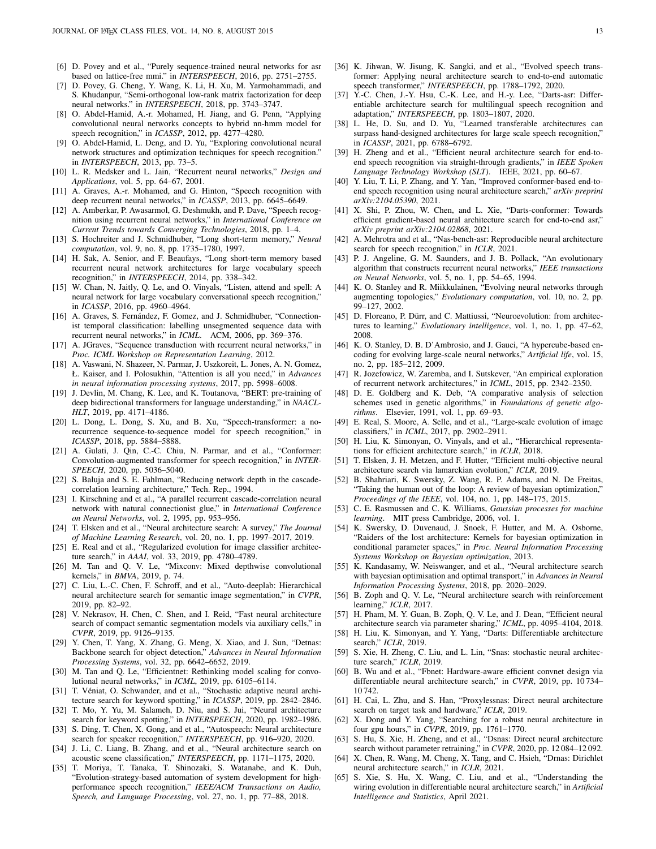- <span id="page-12-43"></span>[6] D. Povey and et al., "Purely sequence-trained neural networks for asr based on lattice-free mmi." in *INTERSPEECH*, 2016, pp. 2751–2755.
- <span id="page-12-0"></span>[7] D. Povey, G. Cheng, Y. Wang, K. Li, H. Xu, M. Yarmohammadi, and S. Khudanpur, "Semi-orthogonal low-rank matrix factorization for deep neural networks." in *INTERSPEECH*, 2018, pp. 3743–3747.
- <span id="page-12-2"></span>[8] O. Abdel-Hamid, A.-r. Mohamed, H. Jiang, and G. Penn, "Applying convolutional neural networks concepts to hybrid nn-hmm model for speech recognition," in *ICASSP*, 2012, pp. 4277–4280.
- <span id="page-12-3"></span>[9] O. Abdel-Hamid, L. Deng, and D. Yu, "Exploring convolutional neural network structures and optimization techniques for speech recognition." in *INTERSPEECH*, 2013, pp. 73–5.
- <span id="page-12-4"></span>[10] L. R. Medsker and L. Jain, "Recurrent neural networks," *Design and Applications*, vol. 5, pp. 64–67, 2001.
- [11] A. Graves, A.-r. Mohamed, and G. Hinton, "Speech recognition with deep recurrent neural networks," in *ICASSP*, 2013, pp. 6645–6649.
- <span id="page-12-1"></span>[12] A. Amberkar, P. Awasarmol, G. Deshmukh, and P. Dave, "Speech recognition using recurrent neural networks," in *International Conference on Current Trends towards Converging Technologies*, 2018, pp. 1–4.
- <span id="page-12-5"></span>[13] S. Hochreiter and J. Schmidhuber, "Long short-term memory," *Neural computation*, vol. 9, no. 8, pp. 1735–1780, 1997.
- <span id="page-12-6"></span>[14] H. Sak, A. Senior, and F. Beaufays, "Long short-term memory based recurrent neural network architectures for large vocabulary speech recognition," in *INTERSPEECH*, 2014, pp. 338–342.
- <span id="page-12-7"></span>[15] W. Chan, N. Jaitly, Q. Le, and O. Vinyals, "Listen, attend and spell: A neural network for large vocabulary conversational speech recognition," in *ICASSP*, 2016, pp. 4960–4964.
- <span id="page-12-8"></span>[16] A. Graves, S. Fernández, F. Gomez, and J. Schmidhuber, "Connectionist temporal classification: labelling unsegmented sequence data with recurrent neural networks," in *ICML*. ACM, 2006, pp. 369–376.
- <span id="page-12-9"></span>[17] A. JGraves, "Sequence transduction with recurrent neural networks," in *Proc. ICML Workshop on Representation Learning*, 2012.
- <span id="page-12-10"></span>[18] A. Vaswani, N. Shazeer, N. Parmar, J. Uszkoreit, L. Jones, A. N. Gomez, Ł. Kaiser, and I. Polosukhin, "Attention is all you need," in *Advances in neural information processing systems*, 2017, pp. 5998–6008.
- [19] J. Devlin, M. Chang, K. Lee, and K. Toutanova, "BERT: pre-training of deep bidirectional transformers for language understanding," in *NAACL-HLT*, 2019, pp. 4171–4186.
- [20] L. Dong, L. Dong, S. Xu, and B. Xu, "Speech-transformer: a norecurrence sequence-to-sequence model for speech recognition," in *ICASSP*, 2018, pp. 5884–5888.
- <span id="page-12-11"></span>[21] A. Gulati, J. Qin, C.-C. Chiu, N. Parmar, and et al., "Conformer: Convolution-augmented transformer for speech recognition," in *INTER-SPEECH*, 2020, pp. 5036–5040.
- <span id="page-12-12"></span>[22] S. Baluja and S. E. Fahlman, "Reducing network depth in the cascadecorrelation learning architecture," Tech. Rep., 1994.
- <span id="page-12-13"></span>[23] I. Kirschning and et al., "A parallel recurrent cascade-correlation neural network with natural connectionist glue," in *International Conference on Neural Networks*, vol. 2, 1995, pp. 953–956.
- <span id="page-12-14"></span>[24] T. Elsken and et al., "Neural architecture search: A survey," *The Journal of Machine Learning Research*, vol. 20, no. 1, pp. 1997–2017, 2019.
- <span id="page-12-15"></span>[25] E. Real and et al., "Regularized evolution for image classifier architecture search," in *AAAI*, vol. 33, 2019, pp. 4780–4789.
- [26] M. Tan and Q. V. Le, "Mixconv: Mixed depthwise convolutional kernels," in *BMVA*, 2019, p. 74.
- [27] C. Liu, L.-C. Chen, F. Schroff, and et al., "Auto-deeplab: Hierarchical neural architecture search for semantic image segmentation," in *CVPR*, 2019, pp. 82–92.
- [28] V. Nekrasov, H. Chen, C. Shen, and I. Reid, "Fast neural architecture search of compact semantic segmentation models via auxiliary cells," in *CVPR*, 2019, pp. 9126–9135.
- [29] Y. Chen, T. Yang, X. Zhang, G. Meng, X. Xiao, and J. Sun, "Detnas: Backbone search for object detection," *Advances in Neural Information Processing Systems*, vol. 32, pp. 6642–6652, 2019.
- <span id="page-12-16"></span>[30] M. Tan and Q. Le, "Efficientnet: Rethinking model scaling for convolutional neural networks," in *ICML*, 2019, pp. 6105–6114.
- <span id="page-12-17"></span>[31] T. Véniat, O. Schwander, and et al., "Stochastic adaptive neural architecture search for keyword spotting," in *ICASSP*, 2019, pp. 2842–2846.
- [32] T. Mo, Y. Yu, M. Salameh, D. Niu, and S. Jui, "Neural architecture search for keyword spotting," in *INTERSPEECH*, 2020, pp. 1982–1986.
- [33] S. Ding, T. Chen, X. Gong, and et al., "Autospeech: Neural architecture search for speaker recognition," *INTERSPEECH*, pp. 916–920, 2020.
- [34] J. Li, C. Liang, B. Zhang, and et al., "Neural architecture search on acoustic scene classification," *INTERSPEECH*, pp. 1171–1175, 2020.
- <span id="page-12-33"></span>[35] T. Moriya, T. Tanaka, T. Shinozaki, S. Watanabe, and K. Duh, "Evolution-strategy-based automation of system development for highperformance speech recognition," *IEEE/ACM Transactions on Audio, Speech, and Language Processing*, vol. 27, no. 1, pp. 77–88, 2018.
- <span id="page-12-37"></span>[36] K. Jihwan, W. Jisung, K. Sangki, and et al., "Evolved speech transformer: Applying neural architecture search to end-to-end automatic speech transformer," *INTERSPEECH*, pp. 1788–1792, 2020.
- <span id="page-12-38"></span>[37] Y.-C. Chen, J.-Y. Hsu, C.-K. Lee, and H.-y. Lee, "Darts-asr: Differentiable architecture search for multilingual speech recognition and adaptation," *INTERSPEECH*, pp. 1803–1807, 2020.
- <span id="page-12-39"></span>[38] L. He, D. Su, and D. Yu, "Learned transferable architectures can surpass hand-designed architectures for large scale speech recognition," in *ICASSP*, 2021, pp. 6788–6792.
- <span id="page-12-34"></span>[39] H. Zheng and et al., "Efficient neural architecture search for end-toend speech recognition via straight-through gradients," in *IEEE Spoken Language Technology Workshop (SLT)*. IEEE, 2021, pp. 60–67.
- <span id="page-12-35"></span>[40] Y. Liu, T. Li, P. Zhang, and Y. Yan, "Improved conformer-based end-toend speech recognition using neural architecture search," *arXiv preprint arXiv:2104.05390*, 2021.
- <span id="page-12-36"></span>[41] X. Shi, P. Zhou, W. Chen, and L. Xie, "Darts-conformer: Towards efficient gradient-based neural architecture search for end-to-end asr," *arXiv preprint arXiv:2104.02868*, 2021.
- <span id="page-12-18"></span>[42] A. Mehrotra and et al., "Nas-bench-asr: Reproducible neural architecture search for speech recognition," in *ICLR*, 2021.
- <span id="page-12-19"></span>[43] P. J. Angeline, G. M. Saunders, and J. B. Pollack, "An evolutionary algorithm that constructs recurrent neural networks," *IEEE transactions on Neural Networks*, vol. 5, no. 1, pp. 54–65, 1994.
- [44] K. O. Stanley and R. Miikkulainen, "Evolving neural networks through augmenting topologies," *Evolutionary computation*, vol. 10, no. 2, pp. 99–127, 2002.
- [45] D. Floreano, P. Dürr, and C. Mattiussi, "Neuroevolution: from architectures to learning," *Evolutionary intelligence*, vol. 1, no. 1, pp. 47–62, 2008.
- [46] K. O. Stanley, D. B. D'Ambrosio, and J. Gauci, "A hypercube-based encoding for evolving large-scale neural networks," *Artificial life*, vol. 15, no. 2, pp. 185–212, 2009.
- <span id="page-12-20"></span>[47] R. Jozefowicz, W. Zaremba, and I. Sutskever, "An empirical exploration of recurrent network architectures," in *ICML*, 2015, pp. 2342–2350.
- <span id="page-12-21"></span>[48] D. E. Goldberg and K. Deb, "A comparative analysis of selection schemes used in genetic algorithms," in *Foundations of genetic algorithms*. Elsevier, 1991, vol. 1, pp. 69–93.
- <span id="page-12-22"></span>[49] E. Real, S. Moore, A. Selle, and et al., "Large-scale evolution of image classifiers," in *ICML*, 2017, pp. 2902–2911.
- <span id="page-12-23"></span>[50] H. Liu, K. Simonyan, O. Vinyals, and et al., "Hierarchical representations for efficient architecture search," in *ICLR*, 2018.
- <span id="page-12-24"></span>[51] T. Elsken, J. H. Metzen, and F. Hutter, "Efficient multi-objective neural architecture search via lamarckian evolution," *ICLR*, 2019.
- <span id="page-12-25"></span>[52] B. Shahriari, K. Swersky, Z. Wang, R. P. Adams, and N. De Freitas, "Taking the human out of the loop: A review of bayesian optimization," *Proceedings of the IEEE*, vol. 104, no. 1, pp. 148–175, 2015.
- <span id="page-12-26"></span>[53] C. E. Rasmussen and C. K. Williams, *Gaussian processes for machine learning*. MIT press Cambridge, 2006, vol. 1.
- <span id="page-12-27"></span>[54] K. Swersky, D. Duvenaud, J. Snoek, F. Hutter, and M. A. Osborne, "Raiders of the lost architecture: Kernels for bayesian optimization in conditional parameter spaces," in *Proc. Neural Information Processing Systems Workshop on Bayesian optimization*, 2013.
- <span id="page-12-28"></span>[55] K. Kandasamy, W. Neiswanger, and et al., "Neural architecture search with bayesian optimisation and optimal transport," in *Advances in Neural Information Processing Systems*, 2018, pp. 2020–2029.
- <span id="page-12-29"></span>[56] B. Zoph and Q. V. Le, "Neural architecture search with reinforcement learning," *ICLR*, 2017.
- <span id="page-12-30"></span>[57] H. Pham, M. Y. Guan, B. Zoph, Q. V. Le, and J. Dean, "Efficient neural architecture search via parameter sharing," *ICML*, pp. 4095–4104, 2018.
- <span id="page-12-31"></span>[58] H. Liu, K. Simonyan, and Y. Yang, "Darts: Differentiable architecture search," *ICLR*, 2019.
- <span id="page-12-40"></span>[59] S. Xie, H. Zheng, C. Liu, and L. Lin, "Snas: stochastic neural architecture search," *ICLR*, 2019.
- <span id="page-12-44"></span>[60] B. Wu and et al., "Fbnet: Hardware-aware efficient convnet design via differentiable neural architecture search," in *CVPR*, 2019, pp. 10 734– 10 742.
- <span id="page-12-41"></span>[61] H. Cai, L. Zhu, and S. Han, "Proxylessnas: Direct neural architecture search on target task and hardware," *ICLR*, 2019.
- <span id="page-12-45"></span>[62] X. Dong and Y. Yang, "Searching for a robust neural architecture in four gpu hours," in *CVPR*, 2019, pp. 1761–1770.
- <span id="page-12-42"></span>[63] S. Hu, S. Xie, H. Zheng, and et al., "Dsnas: Direct neural architecture search without parameter retraining," in *CVPR*, 2020, pp. 12 084–12 092.
- [64] X. Chen, R. Wang, M. Cheng, X. Tang, and C. Hsieh, "Drnas: Dirichlet neural architecture search," in *ICLR*, 2021.
- <span id="page-12-32"></span>[65] S. Xie, S. Hu, X. Wang, C. Liu, and et al., "Understanding the wiring evolution in differentiable neural architecture search," in *Artificial Intelligence and Statistics*, April 2021.